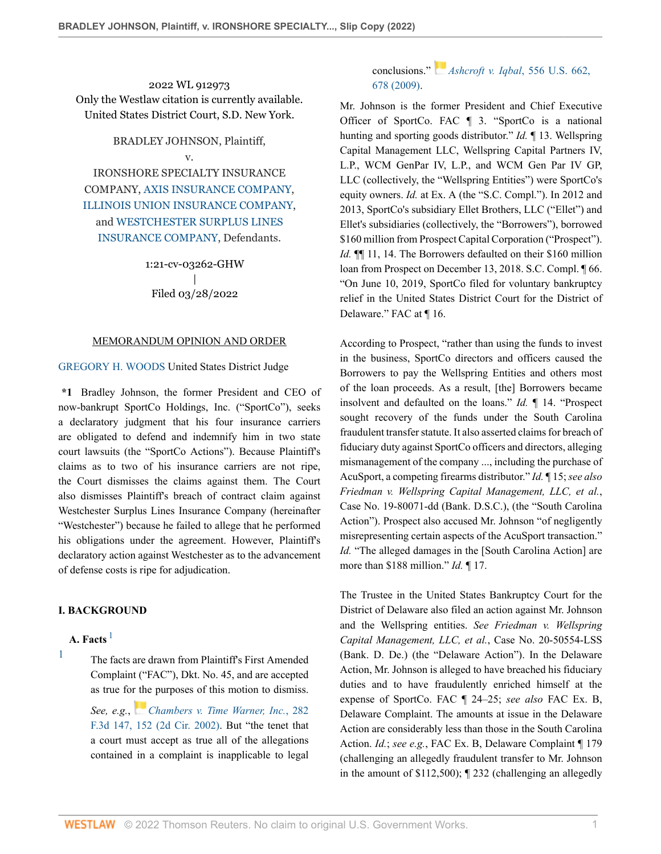2022 WL 912973 Only the Westlaw citation is currently available. United States District Court, S.D. New York.

BRADLEY JOHNSON, Plaintiff,

v.

IRONSHORE SPECIALTY INSURANCE COMPANY, [AXIS INSURANCE COMPANY](http://www.westlaw.com/Search/Results.html?query=advanced%3a+WCAID(I5CF3C47BB03411DD90D1001E4FDD5DBB)&saveJuris=False&contentType=BUSINESS-INVESTIGATOR&startIndex=1&contextData=(sc.Default)&categoryPageUrl=Home%2fCompanyInvestigator&originationContext=document&vr=3.0&rs=cblt1.0&transitionType=DocumentItem), [ILLINOIS UNION INSURANCE COMPANY,](http://www.westlaw.com/Search/Results.html?query=advanced%3a+WCAID(I4797108B5F3911DDBB8D0014224D2780)&saveJuris=False&contentType=BUSINESS-INVESTIGATOR&startIndex=1&contextData=(sc.Default)&categoryPageUrl=Home%2fCompanyInvestigator&originationContext=document&vr=3.0&rs=cblt1.0&transitionType=DocumentItem) and [WESTCHESTER SURPLUS LINES](http://www.westlaw.com/Search/Results.html?query=advanced%3a+WCAID(I161AEC3020CA11DFA2DE8405DA3A297A)&saveJuris=False&contentType=BUSINESS-INVESTIGATOR&startIndex=1&contextData=(sc.Default)&categoryPageUrl=Home%2fCompanyInvestigator&originationContext=document&vr=3.0&rs=cblt1.0&transitionType=DocumentItem) [INSURANCE COMPANY,](http://www.westlaw.com/Search/Results.html?query=advanced%3a+WCAID(I161AEC3020CA11DFA2DE8405DA3A297A)&saveJuris=False&contentType=BUSINESS-INVESTIGATOR&startIndex=1&contextData=(sc.Default)&categoryPageUrl=Home%2fCompanyInvestigator&originationContext=document&vr=3.0&rs=cblt1.0&transitionType=DocumentItem) Defendants.

> 1:21-cv-03262-GHW | Filed 03/28/2022

#### MEMORANDUM OPINION AND ORDER

### [GREGORY H. WOODS](http://www.westlaw.com/Link/Document/FullText?findType=h&pubNum=176284&cite=0483950201&originatingDoc=Ie6f31730b01711eca822e285f8d53e4b&refType=RQ&originationContext=document&vr=3.0&rs=cblt1.0&transitionType=DocumentItem&contextData=(sc.AlertsClip)) United States District Judge

**\*1** Bradley Johnson, the former President and CEO of now-bankrupt SportCo Holdings, Inc. ("SportCo"), seeks a declaratory judgment that his four insurance carriers are obligated to defend and indemnify him in two state court lawsuits (the "SportCo Actions"). Because Plaintiff's claims as to two of his insurance carriers are not ripe, the Court dismisses the claims against them. The Court also dismisses Plaintiff's breach of contract claim against Westchester Surplus Lines Insurance Company (hereinafter "Westchester") because he failed to allege that he performed his obligations under the agreement. However, Plaintiff's declaratory action against Westchester as to the advancement of defense costs is ripe for adjudication.

### **I. BACKGROUND**

# **A. Facts** [1](#page-0-0)

<span id="page-0-0"></span>[1](#page-0-1)

<span id="page-0-1"></span>The facts are drawn from Plaintiff's First Amended Complaint ("FAC"), Dkt. No. 45, and are accepted as true fo[r the](https://1.next.westlaw.com/Link/RelatedInformation/Flag?documentGuid=I7803a60479ca11d9ac1ffa9f33b6c3b0&transitionType=InlineKeyCiteFlags&originationContext=docHeaderFlag&Rank=0&ppcid=0696a5bade5041e4933c414095534e9d&contextData=(sc.AlertsClip) ) purposes of this motion to dismiss. *See, e.g.*, *[Chambers v. Time Warner, Inc.](http://www.westlaw.com/Link/Document/FullText?findType=Y&serNum=2002138687&pubNum=0000506&originatingDoc=Ie6f31730b01711eca822e285f8d53e4b&refType=RP&fi=co_pp_sp_506_152&originationContext=document&vr=3.0&rs=cblt1.0&transitionType=DocumentItem&contextData=(sc.AlertsClip)#co_pp_sp_506_152)*, 282 [F.3d 147, 152 \(2d Cir. 2002\)](http://www.westlaw.com/Link/Document/FullText?findType=Y&serNum=2002138687&pubNum=0000506&originatingDoc=Ie6f31730b01711eca822e285f8d53e4b&refType=RP&fi=co_pp_sp_506_152&originationContext=document&vr=3.0&rs=cblt1.0&transitionType=DocumentItem&contextData=(sc.AlertsClip)#co_pp_sp_506_152). But "the tenet that a court must accept as true all of the allegations contained in a complaint is inapplicable to legal

# conclusions." *[Ashcroft v. Iqbal](http://www.westlaw.com/Link/Document/FullText?findType=Y&serNum=2018848474&pubNum=0000780&originatingDoc=Ie6f31730b01711eca822e285f8d53e4b&refType=RP&fi=co_pp_sp_780_678&originationContext=document&vr=3.0&rs=cblt1.0&transitionType=DocumentItem&contextData=(sc.AlertsClip)#co_pp_sp_780_678)*, 556 U.S. 662, [678 \(2009\)](http://www.westlaw.com/Link/Document/FullText?findType=Y&serNum=2018848474&pubNum=0000780&originatingDoc=Ie6f31730b01711eca822e285f8d53e4b&refType=RP&fi=co_pp_sp_780_678&originationContext=document&vr=3.0&rs=cblt1.0&transitionType=DocumentItem&contextData=(sc.AlertsClip)#co_pp_sp_780_678).

Mr. Johnson is the former President and Chief Executive Officer of SportCo. FAC ¶ 3. "SportCo is a national hunting and sporting goods distributor." *Id.* ¶ 13. Wellspring Capital Management LLC, Wellspring Capital Partners IV, L.P., WCM GenPar IV, L.P., and WCM Gen Par IV GP, LLC (collectively, the "Wellspring Entities") were SportCo's equity owners. *Id.* at Ex. A (the "S.C. Compl."). In 2012 and 2013, SportCo's subsidiary Ellet Brothers, LLC ("Ellet") and Ellet's subsidiaries (collectively, the "Borrowers"), borrowed \$160 million from Prospect Capital Corporation ("Prospect"). *Id.* **[1]** 11, 14. The Borrowers defaulted on their \$160 million loan from Prospect on December 13, 2018. S.C. Compl. ¶ 66. "On June 10, 2019, SportCo filed for voluntary bankruptcy relief in the United States District Court for the District of Delaware." FAC at ¶ 16.

According to Prospect, "rather than using the funds to invest in the business, SportCo directors and officers caused the Borrowers to pay the Wellspring Entities and others most of the loan proceeds. As a result, [the] Borrowers became insolvent and defaulted on the loans." *Id.* ¶ 14. "Prospect sought recovery of the funds under the South Carolina fraudulent transfer statute. It also asserted claims for breach of fiduciary duty against SportCo officers and directors, alleging mismanagement of the company ..., including the purchase of AcuSport, a competing firearms distributor." *Id.* ¶ 15; *see also Friedman v. Wellspring Capital Management, LLC, et al.*, Case No. 19-80071-dd (Bank. D.S.C.), (the "South Carolina Action"). Prospect also accused Mr. Johnson "of negligently misrepresenting certain aspects of the AcuSport transaction." *Id.* "The alleged damages in the [South Carolina Action] are more than \$188 million." *Id.* ¶ 17.

The Trustee in the United States Bankruptcy Court for the District of Delaware also filed an action against Mr. Johnson and the Wellspring entities. *See Friedman v. Wellspring Capital Management, LLC, et al.*, Case No. 20-50554-LSS (Bank. D. De.) (the "Delaware Action"). In the Delaware Action, Mr. Johnson is alleged to have breached his fiduciary duties and to have fraudulently enriched himself at the expense of SportCo. FAC ¶ 24–25; *see also* FAC Ex. B, Delaware Complaint. The amounts at issue in the Delaware Action are considerably less than those in the South Carolina Action. *Id.*; *see e.g.*, FAC Ex. B, Delaware Complaint ¶ 179 (challenging an allegedly fraudulent transfer to Mr. Johnson in the amount of \$112,500); ¶ 232 (challenging an allegedly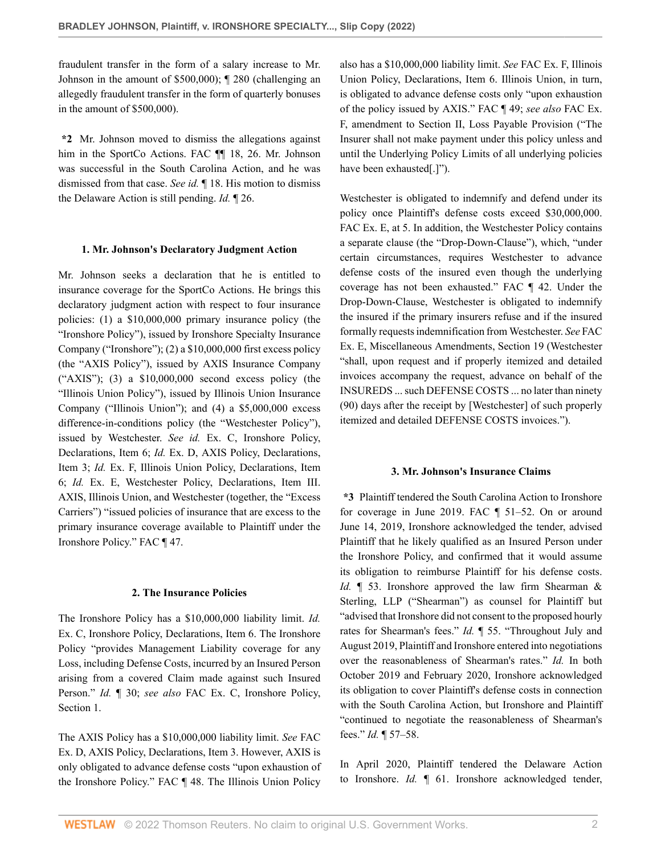fraudulent transfer in the form of a salary increase to Mr. Johnson in the amount of \$500,000); ¶ 280 (challenging an allegedly fraudulent transfer in the form of quarterly bonuses in the amount of \$500,000).

**\*2** Mr. Johnson moved to dismiss the allegations against him in the SportCo Actions. FAC ¶ 18, 26. Mr. Johnson was successful in the South Carolina Action, and he was dismissed from that case. *See id.* ¶ 18. His motion to dismiss the Delaware Action is still pending. *Id.* ¶ 26.

#### **1. Mr. Johnson's Declaratory Judgment Action**

Mr. Johnson seeks a declaration that he is entitled to insurance coverage for the SportCo Actions. He brings this declaratory judgment action with respect to four insurance policies: (1) a \$10,000,000 primary insurance policy (the "Ironshore Policy"), issued by Ironshore Specialty Insurance Company ("Ironshore"); (2) a \$10,000,000 first excess policy (the "AXIS Policy"), issued by AXIS Insurance Company ("AXIS"); (3) a \$10,000,000 second excess policy (the "Illinois Union Policy"), issued by Illinois Union Insurance Company ("Illinois Union"); and (4) a \$5,000,000 excess difference-in-conditions policy (the "Westchester Policy"), issued by Westchester. *See id.* Ex. C, Ironshore Policy, Declarations, Item 6; *Id.* Ex. D, AXIS Policy, Declarations, Item 3; *Id.* Ex. F, Illinois Union Policy, Declarations, Item 6; *Id.* Ex. E, Westchester Policy, Declarations, Item III. AXIS, Illinois Union, and Westchester (together, the "Excess Carriers") "issued policies of insurance that are excess to the primary insurance coverage available to Plaintiff under the Ironshore Policy." FAC ¶ 47.

### **2. The Insurance Policies**

The Ironshore Policy has a \$10,000,000 liability limit. *Id.* Ex. C, Ironshore Policy, Declarations, Item 6. The Ironshore Policy "provides Management Liability coverage for any Loss, including Defense Costs, incurred by an Insured Person arising from a covered Claim made against such Insured Person." *Id.* ¶ 30; *see also* FAC Ex. C, Ironshore Policy, Section 1.

The AXIS Policy has a \$10,000,000 liability limit. *See* FAC Ex. D, AXIS Policy, Declarations, Item 3. However, AXIS is only obligated to advance defense costs "upon exhaustion of the Ironshore Policy." FAC ¶ 48. The Illinois Union Policy

also has a \$10,000,000 liability limit. *See* FAC Ex. F, Illinois Union Policy, Declarations, Item 6. Illinois Union, in turn, is obligated to advance defense costs only "upon exhaustion of the policy issued by AXIS." FAC ¶ 49; *see also* FAC Ex. F, amendment to Section II, Loss Payable Provision ("The Insurer shall not make payment under this policy unless and until the Underlying Policy Limits of all underlying policies have been exhausted[.]").

Westchester is obligated to indemnify and defend under its policy once Plaintiff's defense costs exceed \$30,000,000. FAC Ex. E, at 5. In addition, the Westchester Policy contains a separate clause (the "Drop-Down-Clause"), which, "under certain circumstances, requires Westchester to advance defense costs of the insured even though the underlying coverage has not been exhausted." FAC ¶ 42. Under the Drop-Down-Clause, Westchester is obligated to indemnify the insured if the primary insurers refuse and if the insured formally requests indemnification from Westchester. *See* FAC Ex. E, Miscellaneous Amendments, Section 19 (Westchester "shall, upon request and if properly itemized and detailed invoices accompany the request, advance on behalf of the INSUREDS ... such DEFENSE COSTS ... no later than ninety (90) days after the receipt by [Westchester] of such properly itemized and detailed DEFENSE COSTS invoices.").

#### **3. Mr. Johnson's Insurance Claims**

**\*3** Plaintiff tendered the South Carolina Action to Ironshore for coverage in June 2019. FAC ¶ 51–52. On or around June 14, 2019, Ironshore acknowledged the tender, advised Plaintiff that he likely qualified as an Insured Person under the Ironshore Policy, and confirmed that it would assume its obligation to reimburse Plaintiff for his defense costs. *Id.*  $\parallel$  53. Ironshore approved the law firm Shearman & Sterling, LLP ("Shearman") as counsel for Plaintiff but "advised that Ironshore did not consent to the proposed hourly rates for Shearman's fees." *Id.* ¶ 55. "Throughout July and August 2019, Plaintiff and Ironshore entered into negotiations over the reasonableness of Shearman's rates." *Id.* In both October 2019 and February 2020, Ironshore acknowledged its obligation to cover Plaintiff's defense costs in connection with the South Carolina Action, but Ironshore and Plaintiff "continued to negotiate the reasonableness of Shearman's fees." *Id.* ¶ 57–58.

In April 2020, Plaintiff tendered the Delaware Action to Ironshore. *Id.* ¶ 61. Ironshore acknowledged tender,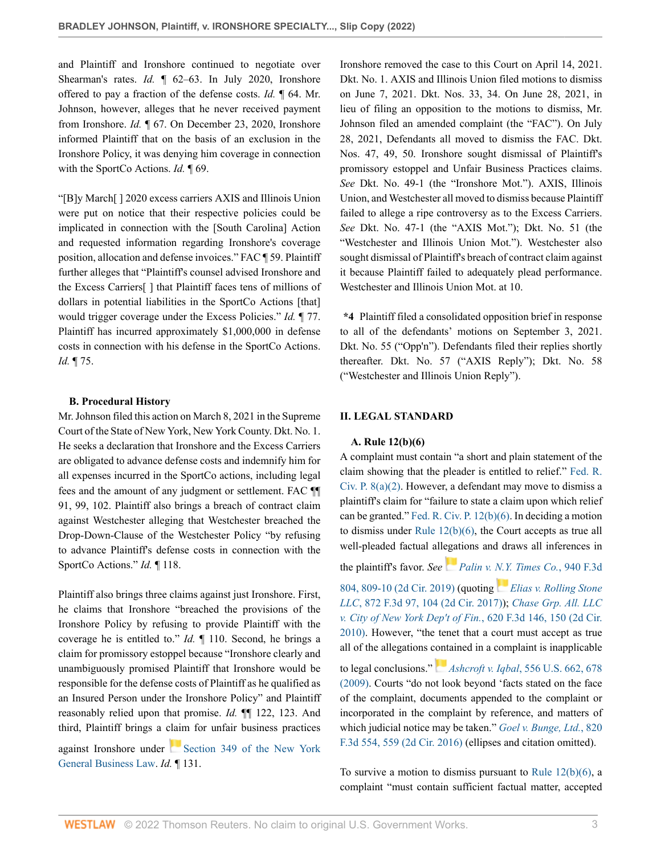and Plaintiff and Ironshore continued to negotiate over Shearman's rates. *Id.*  $\llbracket 62-63$ . In July 2020, Ironshore offered to pay a fraction of the defense costs. *Id.* ¶ 64. Mr. Johnson, however, alleges that he never received payment from Ironshore. *Id.* ¶ 67. On December 23, 2020, Ironshore informed Plaintiff that on the basis of an exclusion in the Ironshore Policy, it was denying him coverage in connection with the SportCo Actions. *Id.* ¶ 69.

"[B]y March[ ] 2020 excess carriers AXIS and Illinois Union were put on notice that their respective policies could be implicated in connection with the [South Carolina] Action and requested information regarding Ironshore's coverage position, allocation and defense invoices." FAC ¶ 59. Plaintiff further alleges that "Plaintiff's counsel advised Ironshore and the Excess Carriers[ ] that Plaintiff faces tens of millions of dollars in potential liabilities in the SportCo Actions [that] would trigger coverage under the Excess Policies." *Id.* ¶ 77. Plaintiff has incurred approximately \$1,000,000 in defense costs in connection with his defense in the SportCo Actions. *Id.* ¶ 75.

### **B. Procedural History**

Mr. Johnson filed this action on March 8, 2021 in the Supreme Court of the State of New York, New York County. Dkt. No. 1. He seeks a declaration that Ironshore and the Excess Carriers are obligated to advance defense costs and indemnify him for all expenses incurred in the SportCo actions, including legal fees and the amount of any judgment or settlement. FAC ¶¶ 91, 99, 102. Plaintiff also brings a breach of contract claim against Westchester alleging that Westchester breached the Drop-Down-Clause of the Westchester Policy "by refusing to advance Plaintiff's defense costs in connection with the SportCo Actions." *Id.* ¶ 118.

Plaintiff also brings three claims against just Ironshore. First, he claims that Ironshore "breached the provisions of the Ironshore Policy by refusing to provide Plaintiff with the coverage he is entitled to." *Id.* ¶ 110. Second, he brings a claim for promissory estoppel because "Ironshore clearly and unambiguously promised Plaintiff that Ironshore would be responsible for the defense costs of Plaintiff as he qualified as an Insured Person under the Ironshore Policy" and Plaintiff reasonably relied upon that promise. *Id.* ¶¶ 122, 123. And third, Plaintiff brings a claim for unfair business practices

against Ironshore under [Section 349 of the New York](http://www.westlaw.com/Link/Document/FullText?findType=L&pubNum=1000081&cite=NYGBS349&originatingDoc=Ie6f31730b01711eca822e285f8d53e4b&refType=LQ&originationContext=document&vr=3.0&rs=cblt1.0&transitionType=DocumentItem&contextData=(sc.AlertsClip)) [General Business Law.](http://www.westlaw.com/Link/Document/FullText?findType=L&pubNum=1000081&cite=NYGBS349&originatingDoc=Ie6f31730b01711eca822e285f8d53e4b&refType=LQ&originationContext=document&vr=3.0&rs=cblt1.0&transitionType=DocumentItem&contextData=(sc.AlertsClip)) *Id.* ¶ 131.

Ironshore removed the case to this Court on April 14, 2021. Dkt. No. 1. AXIS and Illinois Union filed motions to dismiss on June 7, 2021. Dkt. Nos. 33, 34. On June 28, 2021, in lieu of filing an opposition to the motions to dismiss, Mr. Johnson filed an amended complaint (the "FAC"). On July 28, 2021, Defendants all moved to dismiss the FAC. Dkt. Nos. 47, 49, 50. Ironshore sought dismissal of Plaintiff's promissory estoppel and Unfair Business Practices claims. *See* Dkt. No. 49-1 (the "Ironshore Mot."). AXIS, Illinois Union, and Westchester all moved to dismiss because Plaintiff failed to allege a ripe controversy as to the Excess Carriers. *See* Dkt. No. 47-1 (the "AXIS Mot."); Dkt. No. 51 (the "Westchester and Illinois Union Mot."). Westchester also sought dismissal of Plaintiff's breach of contract claim against it because Plaintiff failed to adequately plead performance. Westchester and Illinois Union Mot. at 10.

**\*4** Plaintiff filed a consolidated opposition brief in response to all of the defendants' motions on September 3, 2021. Dkt. No. 55 ("Opp'n"). Defendants filed their replies shortly thereafter. Dkt. No. 57 ("AXIS Reply"); Dkt. No. 58 ("Westchester and Illinois Union Reply").

### **II. LEGAL STANDARD**

### **A. Rule 12(b)(6)**

A complaint must contain "a short and plain statement of the claim showing that the pleader is entitled to relief." [Fed. R.](http://www.westlaw.com/Link/Document/FullText?findType=L&pubNum=1000600&cite=USFRCPR8&originatingDoc=Ie6f31730b01711eca822e285f8d53e4b&refType=LQ&originationContext=document&vr=3.0&rs=cblt1.0&transitionType=DocumentItem&contextData=(sc.AlertsClip)) [Civ. P. 8\(a\)\(2\)](http://www.westlaw.com/Link/Document/FullText?findType=L&pubNum=1000600&cite=USFRCPR8&originatingDoc=Ie6f31730b01711eca822e285f8d53e4b&refType=LQ&originationContext=document&vr=3.0&rs=cblt1.0&transitionType=DocumentItem&contextData=(sc.AlertsClip)). However, a defendant may move to dismiss a plaintiff's claim for "failure to state a claim upon which relief can be granted." [Fed. R. Civ. P. 12\(b\)\(6\)](http://www.westlaw.com/Link/Document/FullText?findType=L&pubNum=1000600&cite=USFRCPR12&originatingDoc=Ie6f31730b01711eca822e285f8d53e4b&refType=LQ&originationContext=document&vr=3.0&rs=cblt1.0&transitionType=DocumentItem&contextData=(sc.AlertsClip)). In deciding a motion to dismiss under [Rule 12\(b\)\(6\),](http://www.westlaw.com/Link/Document/FullText?findType=L&pubNum=1000600&cite=USFRCPR12&originatingDoc=Ie6f31730b01711eca822e285f8d53e4b&refType=LQ&originationContext=document&vr=3.0&rs=cblt1.0&transitionType=DocumentItem&contextData=(sc.AlertsClip)) the Court accepts as true all well-pleaded factual allegations and draws all inferences in

the plaintiff's favor. *See [Palin v. N.Y. Times Co.](http://www.westlaw.com/Link/Document/FullText?findType=Y&serNum=2049411098&pubNum=0000506&originatingDoc=Ie6f31730b01711eca822e285f8d53e4b&refType=RP&fi=co_pp_sp_506_809&originationContext=document&vr=3.0&rs=cblt1.0&transitionType=DocumentItem&contextData=(sc.AlertsClip)#co_pp_sp_506_809)*, 940 F.3d

[804, 809-10 \(2d Cir. 2019\)](http://www.westlaw.com/Link/Document/FullText?findType=Y&serNum=2049411098&pubNum=0000506&originatingDoc=Ie6f31730b01711eca822e285f8d53e4b&refType=RP&fi=co_pp_sp_506_809&originationContext=document&vr=3.0&rs=cblt1.0&transitionType=DocumentItem&contextData=(sc.AlertsClip)#co_pp_sp_506_809) (quoting *[Elias v. Rolling Stone](http://www.westlaw.com/Link/Document/FullText?findType=Y&serNum=2042691245&pubNum=0000506&originatingDoc=Ie6f31730b01711eca822e285f8d53e4b&refType=RP&fi=co_pp_sp_506_104&originationContext=document&vr=3.0&rs=cblt1.0&transitionType=DocumentItem&contextData=(sc.AlertsClip)#co_pp_sp_506_104) LLC*[, 872 F.3d 97, 104 \(2d Cir. 2017\)](http://www.westlaw.com/Link/Document/FullText?findType=Y&serNum=2042691245&pubNum=0000506&originatingDoc=Ie6f31730b01711eca822e285f8d53e4b&refType=RP&fi=co_pp_sp_506_104&originationContext=document&vr=3.0&rs=cblt1.0&transitionType=DocumentItem&contextData=(sc.AlertsClip)#co_pp_sp_506_104)); *[Chase Grp. All. LLC](http://www.westlaw.com/Link/Document/FullText?findType=Y&serNum=2022977414&pubNum=0000506&originatingDoc=Ie6f31730b01711eca822e285f8d53e4b&refType=RP&fi=co_pp_sp_506_150&originationContext=document&vr=3.0&rs=cblt1.0&transitionType=DocumentItem&contextData=(sc.AlertsClip)#co_pp_sp_506_150) [v. City of New York Dep't of Fin.](http://www.westlaw.com/Link/Document/FullText?findType=Y&serNum=2022977414&pubNum=0000506&originatingDoc=Ie6f31730b01711eca822e285f8d53e4b&refType=RP&fi=co_pp_sp_506_150&originationContext=document&vr=3.0&rs=cblt1.0&transitionType=DocumentItem&contextData=(sc.AlertsClip)#co_pp_sp_506_150)*, 620 F.3d 146, 150 (2d Cir. [2010\)](http://www.westlaw.com/Link/Document/FullText?findType=Y&serNum=2022977414&pubNum=0000506&originatingDoc=Ie6f31730b01711eca822e285f8d53e4b&refType=RP&fi=co_pp_sp_506_150&originationContext=document&vr=3.0&rs=cblt1.0&transitionType=DocumentItem&contextData=(sc.AlertsClip)#co_pp_sp_506_150). However, "the tenet that a court must accept as true all of the allegations [cont](https://1.next.westlaw.com/Link/RelatedInformation/Flag?documentGuid=I90623386439011de8bf6cd8525c41437&transitionType=InlineKeyCiteFlags&originationContext=docHeaderFlag&Rank=0&ppcid=0696a5bade5041e4933c414095534e9d&contextData=(sc.AlertsClip) )ained in a complaint is inapplicable

to legal conclusions." *Ashcroft v. Iqbal*[, 556 U.S. 662, 678](http://www.westlaw.com/Link/Document/FullText?findType=Y&serNum=2018848474&pubNum=0000780&originatingDoc=Ie6f31730b01711eca822e285f8d53e4b&refType=RP&fi=co_pp_sp_780_678&originationContext=document&vr=3.0&rs=cblt1.0&transitionType=DocumentItem&contextData=(sc.AlertsClip)#co_pp_sp_780_678) [\(2009\).](http://www.westlaw.com/Link/Document/FullText?findType=Y&serNum=2018848474&pubNum=0000780&originatingDoc=Ie6f31730b01711eca822e285f8d53e4b&refType=RP&fi=co_pp_sp_780_678&originationContext=document&vr=3.0&rs=cblt1.0&transitionType=DocumentItem&contextData=(sc.AlertsClip)#co_pp_sp_780_678) Courts "do not look beyond 'facts stated on the face of the complaint, documents appended to the complaint or incorporated in the complaint by reference, and matters of which judicial notice may be taken." *[Goel v. Bunge, Ltd.](http://www.westlaw.com/Link/Document/FullText?findType=Y&serNum=2038752107&pubNum=0000506&originatingDoc=Ie6f31730b01711eca822e285f8d53e4b&refType=RP&fi=co_pp_sp_506_559&originationContext=document&vr=3.0&rs=cblt1.0&transitionType=DocumentItem&contextData=(sc.AlertsClip)#co_pp_sp_506_559)*, 820 [F.3d 554, 559 \(2d Cir. 2016\)](http://www.westlaw.com/Link/Document/FullText?findType=Y&serNum=2038752107&pubNum=0000506&originatingDoc=Ie6f31730b01711eca822e285f8d53e4b&refType=RP&fi=co_pp_sp_506_559&originationContext=document&vr=3.0&rs=cblt1.0&transitionType=DocumentItem&contextData=(sc.AlertsClip)#co_pp_sp_506_559) (ellipses and citation omitted).

To survive a motion to dismiss pursuant to [Rule 12\(b\)\(6\),](http://www.westlaw.com/Link/Document/FullText?findType=L&pubNum=1000600&cite=USFRCPR12&originatingDoc=Ie6f31730b01711eca822e285f8d53e4b&refType=LQ&originationContext=document&vr=3.0&rs=cblt1.0&transitionType=DocumentItem&contextData=(sc.AlertsClip)) a complaint "must contain sufficient factual matter, accepted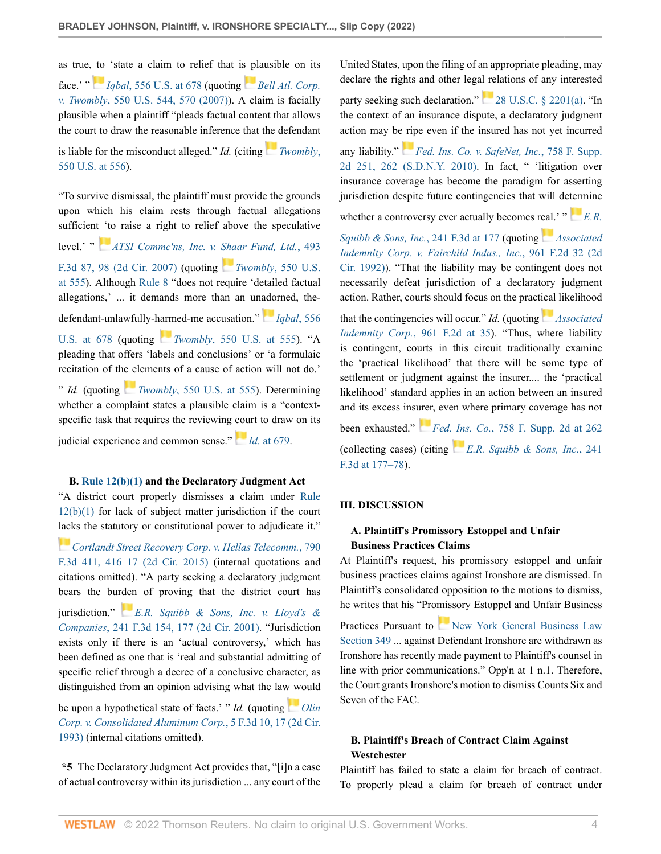as true, [to](https://1.next.westlaw.com/Link/RelatedInformation/Flag?documentGuid=I90623386439011de8bf6cd8525c41437&transitionType=InlineKeyCiteFlags&originationContext=docHeaderFlag&Rank=0&ppcid=0696a5bade5041e4933c414095534e9d&contextData=(sc.AlertsClip) ) 'state a claim to relief that i[s pl](https://1.next.westlaw.com/Link/RelatedInformation/Flag?documentGuid=Ib53eb62e07a011dcb035bac3a32ef289&transitionType=InlineKeyCiteFlags&originationContext=docHeaderFlag&Rank=0&ppcid=0696a5bade5041e4933c414095534e9d&contextData=(sc.AlertsClip) )ausible on its face.' " *Igbal*[, 556 U.S. at 678](http://www.westlaw.com/Link/Document/FullText?findType=Y&serNum=2018848474&pubNum=0000780&originatingDoc=Ie6f31730b01711eca822e285f8d53e4b&refType=RP&fi=co_pp_sp_780_678&originationContext=document&vr=3.0&rs=cblt1.0&transitionType=DocumentItem&contextData=(sc.AlertsClip)#co_pp_sp_780_678) (quoting *[Bell Atl. Corp.](http://www.westlaw.com/Link/Document/FullText?findType=Y&serNum=2012293296&pubNum=0000780&originatingDoc=Ie6f31730b01711eca822e285f8d53e4b&refType=RP&fi=co_pp_sp_780_570&originationContext=document&vr=3.0&rs=cblt1.0&transitionType=DocumentItem&contextData=(sc.AlertsClip)#co_pp_sp_780_570) v. Twombly*[, 550 U.S. 544, 570 \(2007\)](http://www.westlaw.com/Link/Document/FullText?findType=Y&serNum=2012293296&pubNum=0000780&originatingDoc=Ie6f31730b01711eca822e285f8d53e4b&refType=RP&fi=co_pp_sp_780_570&originationContext=document&vr=3.0&rs=cblt1.0&transitionType=DocumentItem&contextData=(sc.AlertsClip)#co_pp_sp_780_570)). A claim is facially plausible when a plaintiff "pleads factual content that allows the court to draw the reasonable inference that t[he d](https://1.next.westlaw.com/Link/RelatedInformation/Flag?documentGuid=Ib53eb62e07a011dcb035bac3a32ef289&transitionType=InlineKeyCiteFlags&originationContext=docHeaderFlag&Rank=0&ppcid=0696a5bade5041e4933c414095534e9d&contextData=(sc.AlertsClip) )efendant

is liable for the misconduct alleged." *Id.* (citing *[Twombly](http://www.westlaw.com/Link/Document/FullText?findType=Y&serNum=2012293296&pubNum=0000780&originatingDoc=Ie6f31730b01711eca822e285f8d53e4b&refType=RP&fi=co_pp_sp_780_556&originationContext=document&vr=3.0&rs=cblt1.0&transitionType=DocumentItem&contextData=(sc.AlertsClip)#co_pp_sp_780_556)*, [550 U.S. at 556](http://www.westlaw.com/Link/Document/FullText?findType=Y&serNum=2012293296&pubNum=0000780&originatingDoc=Ie6f31730b01711eca822e285f8d53e4b&refType=RP&fi=co_pp_sp_780_556&originationContext=document&vr=3.0&rs=cblt1.0&transitionType=DocumentItem&contextData=(sc.AlertsClip)#co_pp_sp_780_556)).

"To survive dismissal, the plaintiff must provide the grounds upon which his claim rests through factual allegations sufficien[t 'to](https://1.next.westlaw.com/Link/RelatedInformation/Flag?documentGuid=I77b3db9f2fee11dc962ef0ed15906072&transitionType=InlineKeyCiteFlags&originationContext=docHeaderFlag&Rank=0&ppcid=0696a5bade5041e4933c414095534e9d&contextData=(sc.AlertsClip) ) raise a right to relief above the speculative level.' " *[ATSI Commc'ns, Inc. v. Shaar Fund, Ltd.](http://www.westlaw.com/Link/Document/FullText?findType=Y&serNum=2012678857&pubNum=0000506&originatingDoc=Ie6f31730b01711eca822e285f8d53e4b&refType=RP&fi=co_pp_sp_506_98&originationContext=document&vr=3.0&rs=cblt1.0&transitionType=DocumentItem&contextData=(sc.AlertsClip)#co_pp_sp_506_98)*, 493 [F.3d 87, 98 \(2d Cir. 2007\)](http://www.westlaw.com/Link/Document/FullText?findType=Y&serNum=2012678857&pubNum=0000506&originatingDoc=Ie6f31730b01711eca822e285f8d53e4b&refType=RP&fi=co_pp_sp_506_98&originationContext=document&vr=3.0&rs=cblt1.0&transitionType=DocumentItem&contextData=(sc.AlertsClip)#co_pp_sp_506_98) (quoting *Twombly*[, 550 U.S.](http://www.westlaw.com/Link/Document/FullText?findType=Y&serNum=2012293296&pubNum=0000780&originatingDoc=Ie6f31730b01711eca822e285f8d53e4b&refType=RP&fi=co_pp_sp_780_555&originationContext=document&vr=3.0&rs=cblt1.0&transitionType=DocumentItem&contextData=(sc.AlertsClip)#co_pp_sp_780_555) [at 555](http://www.westlaw.com/Link/Document/FullText?findType=Y&serNum=2012293296&pubNum=0000780&originatingDoc=Ie6f31730b01711eca822e285f8d53e4b&refType=RP&fi=co_pp_sp_780_555&originationContext=document&vr=3.0&rs=cblt1.0&transitionType=DocumentItem&contextData=(sc.AlertsClip)#co_pp_sp_780_555)). Although [Rule 8](http://www.westlaw.com/Link/Document/FullText?findType=L&pubNum=1000600&cite=USFRCPR8&originatingDoc=Ie6f31730b01711eca822e285f8d53e4b&refType=LQ&originationContext=document&vr=3.0&rs=cblt1.0&transitionType=DocumentItem&contextData=(sc.AlertsClip)) "does not require 'detailed factual allegations,' ... it demands more than an un[ado](https://1.next.westlaw.com/Link/RelatedInformation/Flag?documentGuid=I90623386439011de8bf6cd8525c41437&transitionType=InlineKeyCiteFlags&originationContext=docHeaderFlag&Rank=0&ppcid=0696a5bade5041e4933c414095534e9d&contextData=(sc.AlertsClip) )rned, thedefendant-unlawfully-[harm](https://1.next.westlaw.com/Link/RelatedInformation/Flag?documentGuid=Ib53eb62e07a011dcb035bac3a32ef289&transitionType=InlineKeyCiteFlags&originationContext=docHeaderFlag&Rank=0&ppcid=0696a5bade5041e4933c414095534e9d&contextData=(sc.AlertsClip) )ed-me accusation." *[Iqbal](http://www.westlaw.com/Link/Document/FullText?findType=Y&serNum=2018848474&pubNum=0000780&originatingDoc=Ie6f31730b01711eca822e285f8d53e4b&refType=RP&fi=co_pp_sp_780_678&originationContext=document&vr=3.0&rs=cblt1.0&transitionType=DocumentItem&contextData=(sc.AlertsClip)#co_pp_sp_780_678)*, 556 [U.S. at 678](http://www.westlaw.com/Link/Document/FullText?findType=Y&serNum=2018848474&pubNum=0000780&originatingDoc=Ie6f31730b01711eca822e285f8d53e4b&refType=RP&fi=co_pp_sp_780_678&originationContext=document&vr=3.0&rs=cblt1.0&transitionType=DocumentItem&contextData=(sc.AlertsClip)#co_pp_sp_780_678) (quoting *Twombly*[, 550 U.S. at 555](http://www.westlaw.com/Link/Document/FullText?findType=Y&serNum=2012293296&pubNum=0000780&originatingDoc=Ie6f31730b01711eca822e285f8d53e4b&refType=RP&fi=co_pp_sp_780_555&originationContext=document&vr=3.0&rs=cblt1.0&transitionType=DocumentItem&contextData=(sc.AlertsClip)#co_pp_sp_780_555)). "A pleading that offers 'labels and conclusions' or 'a formulaic recitation of th[e el](https://1.next.westlaw.com/Link/RelatedInformation/Flag?documentGuid=Ib53eb62e07a011dcb035bac3a32ef289&transitionType=InlineKeyCiteFlags&originationContext=docHeaderFlag&Rank=0&ppcid=0696a5bade5041e4933c414095534e9d&contextData=(sc.AlertsClip) )ements of a cause of action will not do.' " *Id.* (quoting *Twombly*[, 550 U.S. at 555\)](http://www.westlaw.com/Link/Document/FullText?findType=Y&serNum=2012293296&pubNum=0000780&originatingDoc=Ie6f31730b01711eca822e285f8d53e4b&refType=RP&fi=co_pp_sp_780_555&originationContext=document&vr=3.0&rs=cblt1.0&transitionType=DocumentItem&contextData=(sc.AlertsClip)#co_pp_sp_780_555). Determining whether a complaint states a plausible claim is a "contextspecific task that requires the reviewing [cou](https://1.next.westlaw.com/Link/RelatedInformation/Flag?documentGuid=I90623386439011de8bf6cd8525c41437&transitionType=InlineKeyCiteFlags&originationContext=docHeaderFlag&Rank=0&ppcid=0696a5bade5041e4933c414095534e9d&contextData=(sc.AlertsClip) )rt to draw on its

judicial experience and common sense." *Id.* [at 679](http://www.westlaw.com/Link/Document/FullText?findType=Y&serNum=2018848474&pubNum=0000780&originatingDoc=Ie6f31730b01711eca822e285f8d53e4b&refType=RP&fi=co_pp_sp_780_679&originationContext=document&vr=3.0&rs=cblt1.0&transitionType=DocumentItem&contextData=(sc.AlertsClip)#co_pp_sp_780_679).

### **B. [Rule 12\(b\)\(1\)](http://www.westlaw.com/Link/Document/FullText?findType=L&pubNum=1000600&cite=USFRCPR12&originatingDoc=Ie6f31730b01711eca822e285f8d53e4b&refType=LQ&originationContext=document&vr=3.0&rs=cblt1.0&transitionType=DocumentItem&contextData=(sc.AlertsClip)) and the Declaratory Judgment Act**

"A district court properly dismisses a claim under [Rule](http://www.westlaw.com/Link/Document/FullText?findType=L&pubNum=1000600&cite=USFRCPR12&originatingDoc=Ie6f31730b01711eca822e285f8d53e4b&refType=LQ&originationContext=document&vr=3.0&rs=cblt1.0&transitionType=DocumentItem&contextData=(sc.AlertsClip)) [12\(b\)\(1\)](http://www.westlaw.com/Link/Document/FullText?findType=L&pubNum=1000600&cite=USFRCPR12&originatingDoc=Ie6f31730b01711eca822e285f8d53e4b&refType=LQ&originationContext=document&vr=3.0&rs=cblt1.0&transitionType=DocumentItem&contextData=(sc.AlertsClip)) for lack of subject matter jurisdiction if the court [lack](https://1.next.westlaw.com/Link/RelatedInformation/Flag?documentGuid=Iad36a39b1a6b11e5b4bafa136b480ad2&transitionType=InlineKeyCiteFlags&originationContext=docHeaderFlag&Rank=0&ppcid=0696a5bade5041e4933c414095534e9d&contextData=(sc.AlertsClip) )s the statutory or constitutional power to adjudicate it."

*[Cortlandt Street Recovery Corp. v. Hellas Telecomm.](http://www.westlaw.com/Link/Document/FullText?findType=Y&serNum=2036530101&pubNum=0000506&originatingDoc=Ie6f31730b01711eca822e285f8d53e4b&refType=RP&fi=co_pp_sp_506_416&originationContext=document&vr=3.0&rs=cblt1.0&transitionType=DocumentItem&contextData=(sc.AlertsClip)#co_pp_sp_506_416)*, 790 [F.3d 411, 416–17 \(2d Cir. 2015\)](http://www.westlaw.com/Link/Document/FullText?findType=Y&serNum=2036530101&pubNum=0000506&originatingDoc=Ie6f31730b01711eca822e285f8d53e4b&refType=RP&fi=co_pp_sp_506_416&originationContext=document&vr=3.0&rs=cblt1.0&transitionType=DocumentItem&contextData=(sc.AlertsClip)#co_pp_sp_506_416) (internal quotations and citations omitted). "A party seeking a declaratory judgment bears the bu[rden](https://1.next.westlaw.com/Link/RelatedInformation/Flag?documentGuid=Ie856b97279a611d99c4dbb2f0352441d&transitionType=InlineKeyCiteFlags&originationContext=docHeaderFlag&Rank=0&ppcid=0696a5bade5041e4933c414095534e9d&contextData=(sc.AlertsClip) ) of proving that the district court has jurisdiction." *[E.R. Squibb & Sons, Inc. v. Lloyd's &](http://www.westlaw.com/Link/Document/FullText?findType=Y&serNum=2001158889&pubNum=0000506&originatingDoc=Ie6f31730b01711eca822e285f8d53e4b&refType=RP&fi=co_pp_sp_506_177&originationContext=document&vr=3.0&rs=cblt1.0&transitionType=DocumentItem&contextData=(sc.AlertsClip)#co_pp_sp_506_177) Companies*[, 241 F.3d 154, 177 \(2d Cir. 2001\)](http://www.westlaw.com/Link/Document/FullText?findType=Y&serNum=2001158889&pubNum=0000506&originatingDoc=Ie6f31730b01711eca822e285f8d53e4b&refType=RP&fi=co_pp_sp_506_177&originationContext=document&vr=3.0&rs=cblt1.0&transitionType=DocumentItem&contextData=(sc.AlertsClip)#co_pp_sp_506_177). "Jurisdiction exists only if there is an 'actual controversy,' which has been defined as one that is 'real and substantial admitting of specific relief through a decree of a conclusive character, as distinguished from an opinion advising what the la[w w](https://1.next.westlaw.com/Link/RelatedInformation/Flag?documentGuid=I4c55649c96fc11d9bdd1cfdd544ca3a4&transitionType=InlineKeyCiteFlags&originationContext=docHeaderFlag&Rank=0&ppcid=0696a5bade5041e4933c414095534e9d&contextData=(sc.AlertsClip) )ould

be upon a hypothetical state of facts.' " *Id.* (quoting *[Olin](http://www.westlaw.com/Link/Document/FullText?findType=Y&serNum=1993176975&pubNum=0000506&originatingDoc=Ie6f31730b01711eca822e285f8d53e4b&refType=RP&fi=co_pp_sp_506_17&originationContext=document&vr=3.0&rs=cblt1.0&transitionType=DocumentItem&contextData=(sc.AlertsClip)#co_pp_sp_506_17) [Corp. v. Consolidated Aluminum Corp.](http://www.westlaw.com/Link/Document/FullText?findType=Y&serNum=1993176975&pubNum=0000506&originatingDoc=Ie6f31730b01711eca822e285f8d53e4b&refType=RP&fi=co_pp_sp_506_17&originationContext=document&vr=3.0&rs=cblt1.0&transitionType=DocumentItem&contextData=(sc.AlertsClip)#co_pp_sp_506_17)*, 5 F.3d 10, 17 (2d Cir. [1993\)](http://www.westlaw.com/Link/Document/FullText?findType=Y&serNum=1993176975&pubNum=0000506&originatingDoc=Ie6f31730b01711eca822e285f8d53e4b&refType=RP&fi=co_pp_sp_506_17&originationContext=document&vr=3.0&rs=cblt1.0&transitionType=DocumentItem&contextData=(sc.AlertsClip)#co_pp_sp_506_17) (internal citations omitted).

**\*5** The Declaratory Judgment Act provides that, "[i]n a case of actual controversy within its jurisdiction ... any court of the United States, upon the filing of an appropriate pleading, may declare the rights and other legal relations of any interested

party seeking such declaration."[28 U.S.C. § 2201\(a\)](http://www.westlaw.com/Link/Document/FullText?findType=L&pubNum=1000546&cite=28USCAS2201&originatingDoc=Ie6f31730b01711eca822e285f8d53e4b&refType=RB&originationContext=document&vr=3.0&rs=cblt1.0&transitionType=DocumentItem&contextData=(sc.AlertsClip)#co_pp_8b3b0000958a4). "In the context of an insurance dispute, a declaratory judgment action may be [rip](https://1.next.westlaw.com/Link/RelatedInformation/Flag?documentGuid=I9235964c0e9b11e0852cd4369a8093f1&transitionType=InlineKeyCiteFlags&originationContext=docHeaderFlag&Rank=0&ppcid=0696a5bade5041e4933c414095534e9d&contextData=(sc.AlertsClip) )e even if the insured has not yet incurred

any liability." *[Fed. Ins. Co. v. SafeNet, Inc.](http://www.westlaw.com/Link/Document/FullText?findType=Y&serNum=2024180925&pubNum=0004637&originatingDoc=Ie6f31730b01711eca822e285f8d53e4b&refType=RP&fi=co_pp_sp_4637_262&originationContext=document&vr=3.0&rs=cblt1.0&transitionType=DocumentItem&contextData=(sc.AlertsClip)#co_pp_sp_4637_262)*, 758 F. Supp. [2d 251, 262 \(S.D.N.Y. 2010\)](http://www.westlaw.com/Link/Document/FullText?findType=Y&serNum=2024180925&pubNum=0004637&originatingDoc=Ie6f31730b01711eca822e285f8d53e4b&refType=RP&fi=co_pp_sp_4637_262&originationContext=document&vr=3.0&rs=cblt1.0&transitionType=DocumentItem&contextData=(sc.AlertsClip)#co_pp_sp_4637_262). In fact, " 'litigation over insurance coverage has become the paradigm for asserting jurisdiction despite future contingencies that will de[term](https://1.next.westlaw.com/Link/RelatedInformation/Flag?documentGuid=Ie856b97279a611d99c4dbb2f0352441d&transitionType=InlineKeyCiteFlags&originationContext=docHeaderFlag&Rank=0&ppcid=0696a5bade5041e4933c414095534e9d&contextData=(sc.AlertsClip) )ine

whether a controversy ever actually becomes r[eal.](https://1.next.westlaw.com/Link/RelatedInformation/Flag?documentGuid=I372a2b5794cc11d993e6d35cc61aab4a&transitionType=InlineKeyCiteFlags&originationContext=docHeaderFlag&Rank=0&ppcid=0696a5bade5041e4933c414095534e9d&contextData=(sc.AlertsClip) )'  $P^*E.R$ .

*[Squibb & Sons, Inc.](http://www.westlaw.com/Link/Document/FullText?findType=Y&serNum=2001158889&pubNum=0000506&originatingDoc=Ie6f31730b01711eca822e285f8d53e4b&refType=RP&fi=co_pp_sp_506_177&originationContext=document&vr=3.0&rs=cblt1.0&transitionType=DocumentItem&contextData=(sc.AlertsClip)#co_pp_sp_506_177)*, 241 F.3d at 177 (quoting *[Associated](http://www.westlaw.com/Link/Document/FullText?findType=Y&serNum=1992070502&pubNum=0000350&originatingDoc=Ie6f31730b01711eca822e285f8d53e4b&refType=RP&originationContext=document&vr=3.0&rs=cblt1.0&transitionType=DocumentItem&contextData=(sc.AlertsClip)) [Indemnity Corp. v. Fairchild Indus., Inc.](http://www.westlaw.com/Link/Document/FullText?findType=Y&serNum=1992070502&pubNum=0000350&originatingDoc=Ie6f31730b01711eca822e285f8d53e4b&refType=RP&originationContext=document&vr=3.0&rs=cblt1.0&transitionType=DocumentItem&contextData=(sc.AlertsClip))*, 961 F.2d 32 (2d [Cir. 1992\)\)](http://www.westlaw.com/Link/Document/FullText?findType=Y&serNum=1992070502&pubNum=0000350&originatingDoc=Ie6f31730b01711eca822e285f8d53e4b&refType=RP&originationContext=document&vr=3.0&rs=cblt1.0&transitionType=DocumentItem&contextData=(sc.AlertsClip)). "That the liability may be contingent does not necessarily defeat jurisdiction of a declaratory judgment action. Rather, courts should focus on the pract[ical](https://1.next.westlaw.com/Link/RelatedInformation/Flag?documentGuid=I372a2b5794cc11d993e6d35cc61aab4a&transitionType=InlineKeyCiteFlags&originationContext=docHeaderFlag&Rank=0&ppcid=0696a5bade5041e4933c414095534e9d&contextData=(sc.AlertsClip) ) likelihood

that the contingencies will occur." *Id.* (quoting *[Associated](http://www.westlaw.com/Link/Document/FullText?findType=Y&serNum=1992070502&pubNum=0000350&originatingDoc=Ie6f31730b01711eca822e285f8d53e4b&refType=RP&fi=co_pp_sp_350_35&originationContext=document&vr=3.0&rs=cblt1.0&transitionType=DocumentItem&contextData=(sc.AlertsClip)#co_pp_sp_350_35) Indemnity Corp.*[, 961 F.2d at 35\)](http://www.westlaw.com/Link/Document/FullText?findType=Y&serNum=1992070502&pubNum=0000350&originatingDoc=Ie6f31730b01711eca822e285f8d53e4b&refType=RP&fi=co_pp_sp_350_35&originationContext=document&vr=3.0&rs=cblt1.0&transitionType=DocumentItem&contextData=(sc.AlertsClip)#co_pp_sp_350_35). "Thus, where liability is contingent, courts in this circuit traditionally examine the 'practical likelihood' that there will be some type of settlement or judgment against the insurer.... the 'practical likelihood' standard applies in an action between an insured and its excess ins[urer](https://1.next.westlaw.com/Link/RelatedInformation/Flag?documentGuid=I9235964c0e9b11e0852cd4369a8093f1&transitionType=InlineKeyCiteFlags&originationContext=docHeaderFlag&Rank=0&ppcid=0696a5bade5041e4933c414095534e9d&contextData=(sc.AlertsClip) ), even where primary coverage has not been exhausted." *Fed[. Ins](https://1.next.westlaw.com/Link/RelatedInformation/Flag?documentGuid=Ie856b97279a611d99c4dbb2f0352441d&transitionType=InlineKeyCiteFlags&originationContext=docHeaderFlag&Rank=0&ppcid=0696a5bade5041e4933c414095534e9d&contextData=(sc.AlertsClip) ). Co.*[, 758 F. Supp. 2d at 262](http://www.westlaw.com/Link/Document/FullText?findType=Y&serNum=2024180925&pubNum=0004637&originatingDoc=Ie6f31730b01711eca822e285f8d53e4b&refType=RP&fi=co_pp_sp_4637_262&originationContext=document&vr=3.0&rs=cblt1.0&transitionType=DocumentItem&contextData=(sc.AlertsClip)#co_pp_sp_4637_262)

(collecting cases) (citing *[E.R. Squibb & Sons, Inc.](http://www.westlaw.com/Link/Document/FullText?findType=Y&serNum=2001158889&pubNum=0000506&originatingDoc=Ie6f31730b01711eca822e285f8d53e4b&refType=RP&fi=co_pp_sp_506_177&originationContext=document&vr=3.0&rs=cblt1.0&transitionType=DocumentItem&contextData=(sc.AlertsClip)#co_pp_sp_506_177)*, 241 [F.3d at 177–78](http://www.westlaw.com/Link/Document/FullText?findType=Y&serNum=2001158889&pubNum=0000506&originatingDoc=Ie6f31730b01711eca822e285f8d53e4b&refType=RP&fi=co_pp_sp_506_177&originationContext=document&vr=3.0&rs=cblt1.0&transitionType=DocumentItem&contextData=(sc.AlertsClip)#co_pp_sp_506_177)).

## **III. DISCUSSION**

# **A. Plaintiff's Promissory Estoppel and Unfair Business Practices Claims**

At Plaintiff's request, his promissory estoppel and unfair business practices claims against Ironshore are dismissed. In Plaintiff's consolidated opposition to the motions to dismiss, he writes that his "Promissory Estoppel and Unfair Business

Practices Pursuant to [New York General Business Law](http://www.westlaw.com/Link/Document/FullText?findType=L&pubNum=1000081&cite=NYGBS349&originatingDoc=Ie6f31730b01711eca822e285f8d53e4b&refType=LQ&originationContext=document&vr=3.0&rs=cblt1.0&transitionType=DocumentItem&contextData=(sc.AlertsClip)) [Section 349](http://www.westlaw.com/Link/Document/FullText?findType=L&pubNum=1000081&cite=NYGBS349&originatingDoc=Ie6f31730b01711eca822e285f8d53e4b&refType=LQ&originationContext=document&vr=3.0&rs=cblt1.0&transitionType=DocumentItem&contextData=(sc.AlertsClip)) ... against Defendant Ironshore are withdrawn as Ironshore has recently made payment to Plaintiff's counsel in line with prior communications." Opp'n at 1 n.1. Therefore, the Court grants Ironshore's motion to dismiss Counts Six and Seven of the FAC.

# **B. Plaintiff's Breach of Contract Claim Against Westchester**

Plaintiff has failed to state a claim for breach of contract. To properly plead a claim for breach of contract under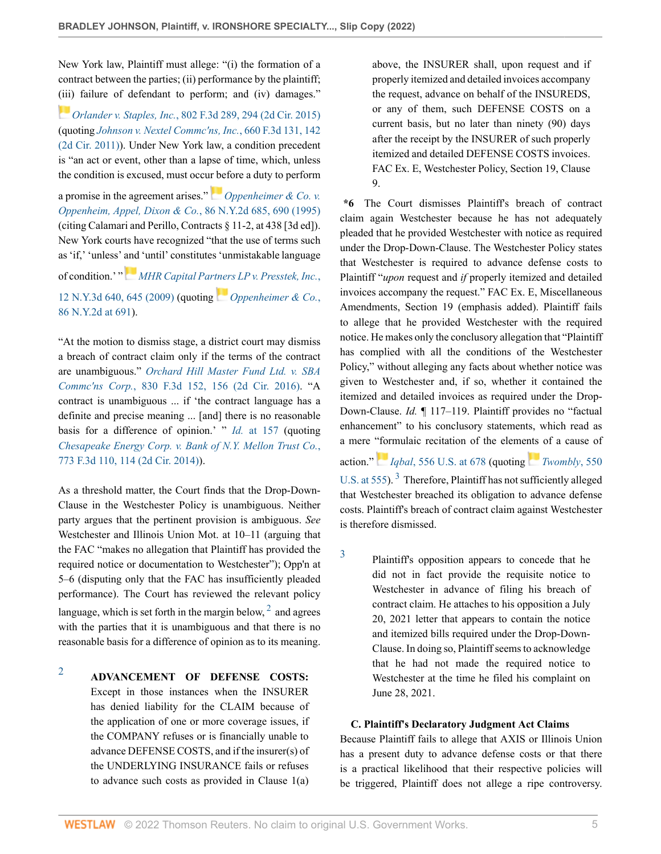New York law, Plaintiff must allege: "(i) the formation of a contract between the parties; (ii) performance by the plaintiff; [\(iii\)](https://1.next.westlaw.com/Link/RelatedInformation/Flag?documentGuid=Id238fd905c7f11e5b86bd602cb8781fa&transitionType=InlineKeyCiteFlags&originationContext=docHeaderFlag&Rank=0&ppcid=0696a5bade5041e4933c414095534e9d&contextData=(sc.AlertsClip) ) failure of defendant to perform; and (iv) damages."

*Orlander v. Staples, Inc.*[, 802 F.3d 289, 294 \(2d Cir. 2015\)](http://www.westlaw.com/Link/Document/FullText?findType=Y&serNum=2037173466&pubNum=0000506&originatingDoc=Ie6f31730b01711eca822e285f8d53e4b&refType=RP&fi=co_pp_sp_506_294&originationContext=document&vr=3.0&rs=cblt1.0&transitionType=DocumentItem&contextData=(sc.AlertsClip)#co_pp_sp_506_294) (quoting *[Johnson v. Nextel Commc'ns, Inc.](http://www.westlaw.com/Link/Document/FullText?findType=Y&serNum=2026216694&pubNum=0000506&originatingDoc=Ie6f31730b01711eca822e285f8d53e4b&refType=RP&fi=co_pp_sp_506_142&originationContext=document&vr=3.0&rs=cblt1.0&transitionType=DocumentItem&contextData=(sc.AlertsClip)#co_pp_sp_506_142)*, 660 F.3d 131, 142 [\(2d Cir. 2011\)\)](http://www.westlaw.com/Link/Document/FullText?findType=Y&serNum=2026216694&pubNum=0000506&originatingDoc=Ie6f31730b01711eca822e285f8d53e4b&refType=RP&fi=co_pp_sp_506_142&originationContext=document&vr=3.0&rs=cblt1.0&transitionType=DocumentItem&contextData=(sc.AlertsClip)#co_pp_sp_506_142). Under New York law, a condition precedent is "an act or event, other than a lapse of time, which, unless the condition is excused, must occu[r be](https://1.next.westlaw.com/Link/RelatedInformation/Flag?documentGuid=Ief18b5a4d9f111d9bf60c1d57ebc853e&transitionType=InlineKeyCiteFlags&originationContext=docHeaderFlag&Rank=0&ppcid=0696a5bade5041e4933c414095534e9d&contextData=(sc.AlertsClip) )fore a duty to perform

a promise in the agreement arises." *[Oppenheimer & Co. v.](http://www.westlaw.com/Link/Document/FullText?findType=Y&serNum=1995237272&pubNum=0000605&originatingDoc=Ie6f31730b01711eca822e285f8d53e4b&refType=RP&fi=co_pp_sp_605_690&originationContext=document&vr=3.0&rs=cblt1.0&transitionType=DocumentItem&contextData=(sc.AlertsClip)#co_pp_sp_605_690) [Oppenheim, Appel, Dixon & Co.](http://www.westlaw.com/Link/Document/FullText?findType=Y&serNum=1995237272&pubNum=0000605&originatingDoc=Ie6f31730b01711eca822e285f8d53e4b&refType=RP&fi=co_pp_sp_605_690&originationContext=document&vr=3.0&rs=cblt1.0&transitionType=DocumentItem&contextData=(sc.AlertsClip)#co_pp_sp_605_690)*, 86 N.Y.2d 685, 690 (1995) (citing Calamari and Perillo, Contracts § 11-2, at 438 [3d ed]). New York courts have recognized "that the use of terms such as 'if,' 'unless' [and](https://1.next.westlaw.com/Link/RelatedInformation/Flag?documentGuid=I919367b660b411de8bf6cd8525c41437&transitionType=InlineKeyCiteFlags&originationContext=docHeaderFlag&Rank=0&ppcid=0696a5bade5041e4933c414095534e9d&contextData=(sc.AlertsClip) ) 'until' constitutes 'unmistakable language of condition.' " *[MHR Capital Partners LP v. Presstek, Inc.](http://www.westlaw.com/Link/Document/FullText?findType=Y&serNum=2019190103&pubNum=0007048&originatingDoc=Ie6f31730b01711eca822e285f8d53e4b&refType=RP&fi=co_pp_sp_7048_645&originationContext=document&vr=3.0&rs=cblt1.0&transitionType=DocumentItem&contextData=(sc.AlertsClip)#co_pp_sp_7048_645)*,

[12 N.Y.3d 640, 645 \(2009\)](http://www.westlaw.com/Link/Document/FullText?findType=Y&serNum=2019190103&pubNum=0007048&originatingDoc=Ie6f31730b01711eca822e285f8d53e4b&refType=RP&fi=co_pp_sp_7048_645&originationContext=document&vr=3.0&rs=cblt1.0&transitionType=DocumentItem&contextData=(sc.AlertsClip)#co_pp_sp_7048_645) (quoting *[Oppenheimer & Co.](http://www.westlaw.com/Link/Document/FullText?findType=Y&serNum=1995237272&pubNum=0000605&originatingDoc=Ie6f31730b01711eca822e285f8d53e4b&refType=RP&fi=co_pp_sp_605_691&originationContext=document&vr=3.0&rs=cblt1.0&transitionType=DocumentItem&contextData=(sc.AlertsClip)#co_pp_sp_605_691)*, [86 N.Y.2d at 691\)](http://www.westlaw.com/Link/Document/FullText?findType=Y&serNum=1995237272&pubNum=0000605&originatingDoc=Ie6f31730b01711eca822e285f8d53e4b&refType=RP&fi=co_pp_sp_605_691&originationContext=document&vr=3.0&rs=cblt1.0&transitionType=DocumentItem&contextData=(sc.AlertsClip)#co_pp_sp_605_691).

"At the motion to dismiss stage, a district court may dismiss a breach of contract claim only if the terms of the contract are unambiguous." *[Orchard Hill Master Fund Ltd. v. SBA](http://www.westlaw.com/Link/Document/FullText?findType=Y&serNum=2039405264&pubNum=0000506&originatingDoc=Ie6f31730b01711eca822e285f8d53e4b&refType=RP&fi=co_pp_sp_506_156&originationContext=document&vr=3.0&rs=cblt1.0&transitionType=DocumentItem&contextData=(sc.AlertsClip)#co_pp_sp_506_156) Commc'ns Corp.*[, 830 F.3d 152, 156 \(2d Cir. 2016\).](http://www.westlaw.com/Link/Document/FullText?findType=Y&serNum=2039405264&pubNum=0000506&originatingDoc=Ie6f31730b01711eca822e285f8d53e4b&refType=RP&fi=co_pp_sp_506_156&originationContext=document&vr=3.0&rs=cblt1.0&transitionType=DocumentItem&contextData=(sc.AlertsClip)#co_pp_sp_506_156) "A contract is unambiguous ... if 'the contract language has a definite and precise meaning ... [and] there is no reasonable basis for a difference of opinion.' " *Id.* [at 157](http://www.westlaw.com/Link/Document/FullText?findType=Y&serNum=2039405264&pubNum=0000506&originatingDoc=Ie6f31730b01711eca822e285f8d53e4b&refType=RP&fi=co_pp_sp_506_157&originationContext=document&vr=3.0&rs=cblt1.0&transitionType=DocumentItem&contextData=(sc.AlertsClip)#co_pp_sp_506_157) (quoting *[Chesapeake Energy Corp. v. Bank of N.Y. Mellon Trust Co.](http://www.westlaw.com/Link/Document/FullText?findType=Y&serNum=2034858406&pubNum=0000506&originatingDoc=Ie6f31730b01711eca822e285f8d53e4b&refType=RP&fi=co_pp_sp_506_114&originationContext=document&vr=3.0&rs=cblt1.0&transitionType=DocumentItem&contextData=(sc.AlertsClip)#co_pp_sp_506_114)*, [773 F.3d 110, 114 \(2d Cir. 2014\)](http://www.westlaw.com/Link/Document/FullText?findType=Y&serNum=2034858406&pubNum=0000506&originatingDoc=Ie6f31730b01711eca822e285f8d53e4b&refType=RP&fi=co_pp_sp_506_114&originationContext=document&vr=3.0&rs=cblt1.0&transitionType=DocumentItem&contextData=(sc.AlertsClip)#co_pp_sp_506_114)).

As a threshold matter, the Court finds that the Drop-Down-Clause in the Westchester Policy is unambiguous. Neither party argues that the pertinent provision is ambiguous. *See* Westchester and Illinois Union Mot. at 10–11 (arguing that the FAC "makes no allegation that Plaintiff has provided the required notice or documentation to Westchester"); Opp'n at 5–6 (disputing only that the FAC has insufficiently pleaded performance). The Court has reviewed the relevant policy language, which is set forth in the margin below,  $2$  and agrees with the parties that it is unambiguous and that there is no reasonable basis for a difference of opinion as to its meaning.

<span id="page-4-0"></span>[2](#page-4-1) **ADVANCEMENT OF DEFENSE COSTS:** Except in those instances when the INSURER has denied liability for the CLAIM because of the application of one or more coverage issues, if the COMPANY refuses or is financially unable to advance DEFENSE COSTS, and if the insurer(s) of the UNDERLYING INSURANCE fails or refuses to advance such costs as provided in Clause 1(a)

above, the INSURER shall, upon request and if properly itemized and detailed invoices accompany the request, advance on behalf of the INSUREDS, or any of them, such DEFENSE COSTS on a current basis, but no later than ninety (90) days after the receipt by the INSURER of such properly itemized and detailed DEFENSE COSTS invoices. FAC Ex. E, Westchester Policy, Section 19, Clause 9.

**\*6** The Court dismisses Plaintiff's breach of contract claim again Westchester because he has not adequately pleaded that he provided Westchester with notice as required under the Drop-Down-Clause. The Westchester Policy states that Westchester is required to advance defense costs to Plaintiff "*upon* request and *if* properly itemized and detailed invoices accompany the request." FAC Ex. E, Miscellaneous Amendments, Section 19 (emphasis added). Plaintiff fails to allege that he provided Westchester with the required notice. He makes only the conclusory allegation that "Plaintiff has complied with all the conditions of the Westchester Policy," without alleging any facts about whether notice was given to Westchester and, if so, whether it contained the itemized and detailed invoices as required under the Drop-Down-Clause. *Id.* ¶ 117–119. Plaintiff provides no "factual enhancement" to his conclusory statements, which read as a mere ["for](https://1.next.westlaw.com/Link/RelatedInformation/Flag?documentGuid=I90623386439011de8bf6cd8525c41437&transitionType=InlineKeyCiteFlags&originationContext=docHeaderFlag&Rank=0&ppcid=0696a5bade5041e4933c414095534e9d&contextData=(sc.AlertsClip) )mulaic recitation of the eleme[nts](https://1.next.westlaw.com/Link/RelatedInformation/Flag?documentGuid=Ib53eb62e07a011dcb035bac3a32ef289&transitionType=InlineKeyCiteFlags&originationContext=docHeaderFlag&Rank=0&ppcid=0696a5bade5041e4933c414095534e9d&contextData=(sc.AlertsClip) ) of a cause of action." *Iqbal*[, 556 U.S. at 678](http://www.westlaw.com/Link/Document/FullText?findType=Y&serNum=2018848474&pubNum=0000780&originatingDoc=Ie6f31730b01711eca822e285f8d53e4b&refType=RP&fi=co_pp_sp_780_678&originationContext=document&vr=3.0&rs=cblt1.0&transitionType=DocumentItem&contextData=(sc.AlertsClip)#co_pp_sp_780_678) (quoting *[Twombly](http://www.westlaw.com/Link/Document/FullText?findType=Y&serNum=2012293296&pubNum=0000780&originatingDoc=Ie6f31730b01711eca822e285f8d53e4b&refType=RP&fi=co_pp_sp_780_555&originationContext=document&vr=3.0&rs=cblt1.0&transitionType=DocumentItem&contextData=(sc.AlertsClip)#co_pp_sp_780_555)*, 550 [U.S. at 555\)](http://www.westlaw.com/Link/Document/FullText?findType=Y&serNum=2012293296&pubNum=0000780&originatingDoc=Ie6f31730b01711eca822e285f8d53e4b&refType=RP&fi=co_pp_sp_780_555&originationContext=document&vr=3.0&rs=cblt1.0&transitionType=DocumentItem&contextData=(sc.AlertsClip)#co_pp_sp_780_555).<sup>[3](#page-4-2)</sup> Therefore, Plaintiff has not sufficiently alleged that Westchester breached its obligation to advance defense costs. Plaintiff's breach of contract claim against Westchester is therefore dismissed.

> <span id="page-4-3"></span>Plaintiff's opposition appears to concede that he did not in fact provide the requisite notice to Westchester in advance of filing his breach of contract claim. He attaches to his opposition a July 20, 2021 letter that appears to contain the notice and itemized bills required under the Drop-Down-Clause. In doing so, Plaintiff seems to acknowledge that he had not made the required notice to Westchester at the time he filed his complaint on June 28, 2021.

# **C. Plaintiff's Declaratory Judgment Act Claims**

Because Plaintiff fails to allege that AXIS or Illinois Union has a present duty to advance defense costs or that there is a practical likelihood that their respective policies will be triggered, Plaintiff does not allege a ripe controversy.

<span id="page-4-2"></span><span id="page-4-1"></span>[3](#page-4-3)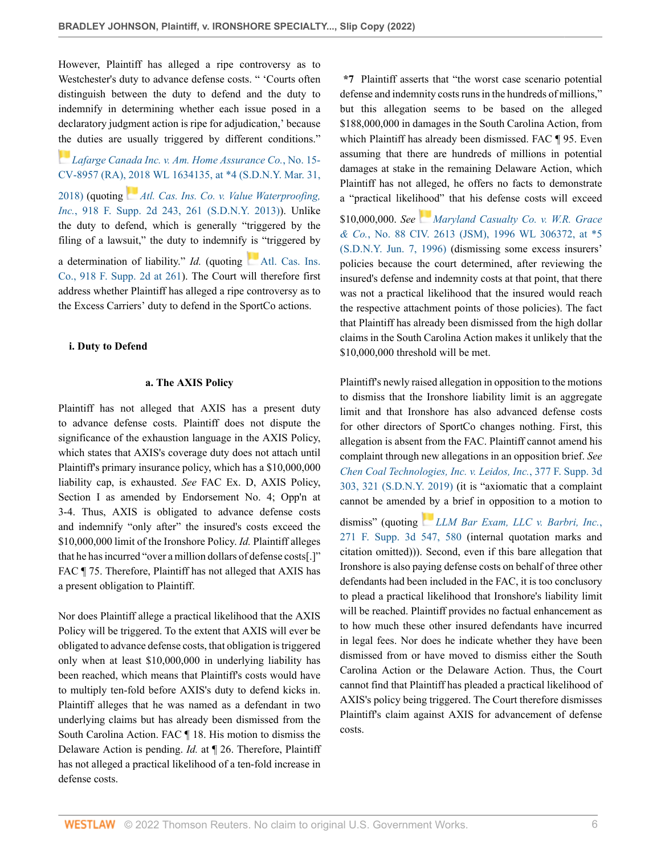However, Plaintiff has alleged a ripe controversy as to Westchester's duty to advance defense costs. " 'Courts often distinguish between the duty to defend and the duty to indemnify in determining whether each issue posed in a declaratory judgment action is ripe for adjudication,' because [the](https://1.next.westlaw.com/Link/RelatedInformation/Flag?documentGuid=I06541db0394611e8a70fc9d8a0b2aef5&transitionType=InlineKeyCiteFlags&originationContext=docHeaderFlag&Rank=0&ppcid=0696a5bade5041e4933c414095534e9d&contextData=(sc.AlertsClip) ) duties are usually triggered by different conditions."

*[Lafarge Canada Inc. v. Am. Home Assurance Co.](http://www.westlaw.com/Link/Document/FullText?findType=Y&serNum=2044249449&pubNum=0000999&originatingDoc=Ie6f31730b01711eca822e285f8d53e4b&refType=RP&fi=co_pp_sp_999_4&originationContext=document&vr=3.0&rs=cblt1.0&transitionType=DocumentItem&contextData=(sc.AlertsClip)#co_pp_sp_999_4)*, No. 15- [CV-8957 \(RA\), 2018 WL 1634135, at \\*4 \(S.D.N.Y. Mar. 31,](http://www.westlaw.com/Link/Document/FullText?findType=Y&serNum=2044249449&pubNum=0000999&originatingDoc=Ie6f31730b01711eca822e285f8d53e4b&refType=RP&fi=co_pp_sp_999_4&originationContext=document&vr=3.0&rs=cblt1.0&transitionType=DocumentItem&contextData=(sc.AlertsClip)#co_pp_sp_999_4) [2018\)](http://www.westlaw.com/Link/Document/FullText?findType=Y&serNum=2044249449&pubNum=0000999&originatingDoc=Ie6f31730b01711eca822e285f8d53e4b&refType=RP&fi=co_pp_sp_999_4&originationContext=document&vr=3.0&rs=cblt1.0&transitionType=DocumentItem&contextData=(sc.AlertsClip)#co_pp_sp_999_4) (quoting *[Atl. Cas. Ins. Co. v. Value Waterproofing,](http://www.westlaw.com/Link/Document/FullText?findType=Y&serNum=2029651680&pubNum=0004637&originatingDoc=Ie6f31730b01711eca822e285f8d53e4b&refType=RP&fi=co_pp_sp_4637_261&originationContext=document&vr=3.0&rs=cblt1.0&transitionType=DocumentItem&contextData=(sc.AlertsClip)#co_pp_sp_4637_261) Inc.*[, 918 F. Supp. 2d 243, 261 \(S.D.N.Y. 2013\)](http://www.westlaw.com/Link/Document/FullText?findType=Y&serNum=2029651680&pubNum=0004637&originatingDoc=Ie6f31730b01711eca822e285f8d53e4b&refType=RP&fi=co_pp_sp_4637_261&originationContext=document&vr=3.0&rs=cblt1.0&transitionType=DocumentItem&contextData=(sc.AlertsClip)#co_pp_sp_4637_261)). Unlike the duty to defend, which is generally "triggered by the filing of a lawsuit," the duty to indemnify is "triggered by a determination of liability."  $Id$ . (quoting [Atl. Cas. Ins.](http://www.westlaw.com/Link/Document/FullText?findType=Y&serNum=2029651680&pubNum=0004637&originatingDoc=Ie6f31730b01711eca822e285f8d53e4b&refType=RP&fi=co_pp_sp_4637_261&originationContext=document&vr=3.0&rs=cblt1.0&transitionType=DocumentItem&contextData=(sc.AlertsClip)#co_pp_sp_4637_261) [Co., 918 F. Supp. 2d at 261](http://www.westlaw.com/Link/Document/FullText?findType=Y&serNum=2029651680&pubNum=0004637&originatingDoc=Ie6f31730b01711eca822e285f8d53e4b&refType=RP&fi=co_pp_sp_4637_261&originationContext=document&vr=3.0&rs=cblt1.0&transitionType=DocumentItem&contextData=(sc.AlertsClip)#co_pp_sp_4637_261)). The Court will therefore first address whether Plaintiff has alleged a ripe controversy as to the Excess Carriers' duty to defend in the SportCo actions.

### **i. Duty to Defend**

### **a. The AXIS Policy**

Plaintiff has not alleged that AXIS has a present duty to advance defense costs. Plaintiff does not dispute the significance of the exhaustion language in the AXIS Policy, which states that AXIS's coverage duty does not attach until Plaintiff's primary insurance policy, which has a \$10,000,000 liability cap, is exhausted. *See* FAC Ex. D, AXIS Policy, Section I as amended by Endorsement No. 4; Opp'n at 3-4. Thus, AXIS is obligated to advance defense costs and indemnify "only after" the insured's costs exceed the \$10,000,000 limit of the Ironshore Policy. *Id.* Plaintiff alleges that he has incurred "over a million dollars of defense costs[.]" FAC ¶ 75. Therefore, Plaintiff has not alleged that AXIS has a present obligation to Plaintiff.

Nor does Plaintiff allege a practical likelihood that the AXIS Policy will be triggered. To the extent that AXIS will ever be obligated to advance defense costs, that obligation is triggered only when at least \$10,000,000 in underlying liability has been reached, which means that Plaintiff's costs would have to multiply ten-fold before AXIS's duty to defend kicks in. Plaintiff alleges that he was named as a defendant in two underlying claims but has already been dismissed from the South Carolina Action. FAC ¶ 18. His motion to dismiss the Delaware Action is pending. *Id.* at ¶ 26. Therefore, Plaintiff has not alleged a practical likelihood of a ten-fold increase in defense costs.

**\*7** Plaintiff asserts that "the worst case scenario potential defense and indemnity costs runs in the hundreds of millions," but this allegation seems to be based on the alleged \$188,000,000 in damages in the South Carolina Action, from which Plaintiff has already been dismissed. FAC ¶ 95. Even assuming that there are hundreds of millions in potential damages at stake in the remaining Delaware Action, which Plaintiff has not alleged, he offers no facts to demonstrate a "practical likelihood" that his defense costs will exceed \$10,000,000. *See [Maryland Casualty Co. v. W.R. Grace](http://www.westlaw.com/Link/Document/FullText?findType=Y&serNum=1996131434&pubNum=0000999&originatingDoc=Ie6f31730b01711eca822e285f8d53e4b&refType=RP&fi=co_pp_sp_999_5&originationContext=document&vr=3.0&rs=cblt1.0&transitionType=DocumentItem&contextData=(sc.AlertsClip)#co_pp_sp_999_5)*

*& Co.*[, No. 88 CIV. 2613 \(JSM\), 1996 WL 306372, at \\*5](http://www.westlaw.com/Link/Document/FullText?findType=Y&serNum=1996131434&pubNum=0000999&originatingDoc=Ie6f31730b01711eca822e285f8d53e4b&refType=RP&fi=co_pp_sp_999_5&originationContext=document&vr=3.0&rs=cblt1.0&transitionType=DocumentItem&contextData=(sc.AlertsClip)#co_pp_sp_999_5) [\(S.D.N.Y. Jun. 7, 1996\)](http://www.westlaw.com/Link/Document/FullText?findType=Y&serNum=1996131434&pubNum=0000999&originatingDoc=Ie6f31730b01711eca822e285f8d53e4b&refType=RP&fi=co_pp_sp_999_5&originationContext=document&vr=3.0&rs=cblt1.0&transitionType=DocumentItem&contextData=(sc.AlertsClip)#co_pp_sp_999_5) (dismissing some excess insurers' policies because the court determined, after reviewing the insured's defense and indemnity costs at that point, that there was not a practical likelihood that the insured would reach the respective attachment points of those policies). The fact that Plaintiff has already been dismissed from the high dollar claims in the South Carolina Action makes it unlikely that the \$10,000,000 threshold will be met.

Plaintiff's newly raised allegation in opposition to the motions to dismiss that the Ironshore liability limit is an aggregate limit and that Ironshore has also advanced defense costs for other directors of SportCo changes nothing. First, this allegation is absent from the FAC. Plaintiff cannot amend his complaint through new allegations in an opposition brief. *See [Chen Coal Technologies, Inc. v. Leidos, Inc.](http://www.westlaw.com/Link/Document/FullText?findType=Y&serNum=2047886615&pubNum=0007903&originatingDoc=Ie6f31730b01711eca822e285f8d53e4b&refType=RP&fi=co_pp_sp_7903_321&originationContext=document&vr=3.0&rs=cblt1.0&transitionType=DocumentItem&contextData=(sc.AlertsClip)#co_pp_sp_7903_321)*, 377 F. Supp. 3d [303, 321 \(S.D.N.Y. 2019\)](http://www.westlaw.com/Link/Document/FullText?findType=Y&serNum=2047886615&pubNum=0007903&originatingDoc=Ie6f31730b01711eca822e285f8d53e4b&refType=RP&fi=co_pp_sp_7903_321&originationContext=document&vr=3.0&rs=cblt1.0&transitionType=DocumentItem&contextData=(sc.AlertsClip)#co_pp_sp_7903_321) (it is "axiomatic that a complaint cannot be amende[d by](https://1.next.westlaw.com/Link/RelatedInformation/Flag?documentGuid=Iaf217580a41a11e7ae06bb6d796f727f&transitionType=InlineKeyCiteFlags&originationContext=docHeaderFlag&Rank=0&ppcid=0696a5bade5041e4933c414095534e9d&contextData=(sc.AlertsClip) ) a brief in opposition to a motion to

dismiss" (quoting *[LLM Bar Exam, LLC v. Barbri, Inc.](http://www.westlaw.com/Link/Document/FullText?findType=Y&serNum=2042745208&pubNum=0007903&originatingDoc=Ie6f31730b01711eca822e285f8d53e4b&refType=RP&fi=co_pp_sp_7903_580&originationContext=document&vr=3.0&rs=cblt1.0&transitionType=DocumentItem&contextData=(sc.AlertsClip)#co_pp_sp_7903_580)*, [271 F. Supp. 3d 547, 580](http://www.westlaw.com/Link/Document/FullText?findType=Y&serNum=2042745208&pubNum=0007903&originatingDoc=Ie6f31730b01711eca822e285f8d53e4b&refType=RP&fi=co_pp_sp_7903_580&originationContext=document&vr=3.0&rs=cblt1.0&transitionType=DocumentItem&contextData=(sc.AlertsClip)#co_pp_sp_7903_580) (internal quotation marks and citation omitted))). Second, even if this bare allegation that Ironshore is also paying defense costs on behalf of three other defendants had been included in the FAC, it is too conclusory to plead a practical likelihood that Ironshore's liability limit will be reached. Plaintiff provides no factual enhancement as to how much these other insured defendants have incurred in legal fees. Nor does he indicate whether they have been dismissed from or have moved to dismiss either the South Carolina Action or the Delaware Action. Thus, the Court cannot find that Plaintiff has pleaded a practical likelihood of AXIS's policy being triggered. The Court therefore dismisses Plaintiff's claim against AXIS for advancement of defense costs.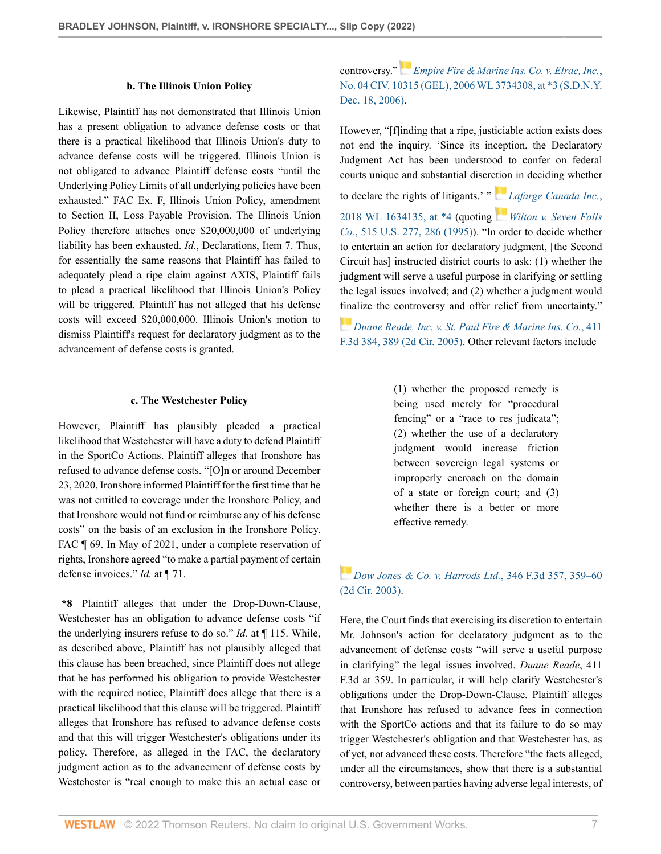### **b. The Illinois Union Policy**

Likewise, Plaintiff has not demonstrated that Illinois Union has a present obligation to advance defense costs or that there is a practical likelihood that Illinois Union's duty to advance defense costs will be triggered. Illinois Union is not obligated to advance Plaintiff defense costs "until the Underlying Policy Limits of all underlying policies have been exhausted." FAC Ex. F, Illinois Union Policy, amendment to Section II, Loss Payable Provision. The Illinois Union Policy therefore attaches once \$20,000,000 of underlying liability has been exhausted. *Id.*, Declarations, Item 7. Thus, for essentially the same reasons that Plaintiff has failed to adequately plead a ripe claim against AXIS, Plaintiff fails to plead a practical likelihood that Illinois Union's Policy will be triggered. Plaintiff has not alleged that his defense costs will exceed \$20,000,000. Illinois Union's motion to dismiss Plaintiff's request for declaratory judgment as to the advancement of defense costs is granted.

#### **c. The Westchester Policy**

However, Plaintiff has plausibly pleaded a practical likelihood that Westchester will have a duty to defend Plaintiff in the SportCo Actions. Plaintiff alleges that Ironshore has refused to advance defense costs. "[O]n or around December 23, 2020, Ironshore informed Plaintiff for the first time that he was not entitled to coverage under the Ironshore Policy, and that Ironshore would not fund or reimburse any of his defense costs" on the basis of an exclusion in the Ironshore Policy. FAC ¶ 69. In May of 2021, under a complete reservation of rights, Ironshore agreed "to make a partial payment of certain defense invoices." *Id.* at ¶ 71.

**\*8** Plaintiff alleges that under the Drop-Down-Clause, Westchester has an obligation to advance defense costs "if the underlying insurers refuse to do so." *Id.* at ¶ 115. While, as described above, Plaintiff has not plausibly alleged that this clause has been breached, since Plaintiff does not allege that he has performed his obligation to provide Westchester with the required notice, Plaintiff does allege that there is a practical likelihood that this clause will be triggered. Plaintiff alleges that Ironshore has refused to advance defense costs and that this will trigger Westchester's obligations under its policy. Therefore, as alleged in the FAC, the declaratory judgment action as to the advancement of defense costs by Westchester is "real enough to make this an actual case or

controversy."*[Empire Fire & Marine Ins. Co. v. Elrac, Inc.](http://www.westlaw.com/Link/Document/FullText?findType=Y&serNum=2010949945&pubNum=0000999&originatingDoc=Ie6f31730b01711eca822e285f8d53e4b&refType=RP&fi=co_pp_sp_999_3&originationContext=document&vr=3.0&rs=cblt1.0&transitionType=DocumentItem&contextData=(sc.AlertsClip)#co_pp_sp_999_3)*, [No. 04 CIV. 10315 \(GEL\), 2006 WL 3734308, at \\*3 \(S.D.N.Y.](http://www.westlaw.com/Link/Document/FullText?findType=Y&serNum=2010949945&pubNum=0000999&originatingDoc=Ie6f31730b01711eca822e285f8d53e4b&refType=RP&fi=co_pp_sp_999_3&originationContext=document&vr=3.0&rs=cblt1.0&transitionType=DocumentItem&contextData=(sc.AlertsClip)#co_pp_sp_999_3) [Dec. 18, 2006\)](http://www.westlaw.com/Link/Document/FullText?findType=Y&serNum=2010949945&pubNum=0000999&originatingDoc=Ie6f31730b01711eca822e285f8d53e4b&refType=RP&fi=co_pp_sp_999_3&originationContext=document&vr=3.0&rs=cblt1.0&transitionType=DocumentItem&contextData=(sc.AlertsClip)#co_pp_sp_999_3).

However, "[f]inding that a ripe, justiciable action exists does not end the inquiry. 'Since its inception, the Declaratory Judgment Act has been understood to confer on federal courts unique and substantial discr[etion](https://1.next.westlaw.com/Link/RelatedInformation/Flag?documentGuid=I06541db0394611e8a70fc9d8a0b2aef5&transitionType=InlineKeyCiteFlags&originationContext=docHeaderFlag&Rank=0&ppcid=0696a5bade5041e4933c414095534e9d&contextData=(sc.AlertsClip) ) in deciding whether

to declare the rights of litigants.' " *[Lafarge Canada Inc.](http://www.westlaw.com/Link/Document/FullText?findType=Y&serNum=2044249449&pubNum=0000999&originatingDoc=Ie6f31730b01711eca822e285f8d53e4b&refType=RP&fi=co_pp_sp_999_4&originationContext=document&vr=3.0&rs=cblt1.0&transitionType=DocumentItem&contextData=(sc.AlertsClip)#co_pp_sp_999_4)*, [2018 WL 1634135, at \\*4](http://www.westlaw.com/Link/Document/FullText?findType=Y&serNum=2044249449&pubNum=0000999&originatingDoc=Ie6f31730b01711eca822e285f8d53e4b&refType=RP&fi=co_pp_sp_999_4&originationContext=document&vr=3.0&rs=cblt1.0&transitionType=DocumentItem&contextData=(sc.AlertsClip)#co_pp_sp_999_4) (quoting *[Wilton v. Seven Falls](http://www.westlaw.com/Link/Document/FullText?findType=Y&serNum=1995125520&pubNum=0000780&originatingDoc=Ie6f31730b01711eca822e285f8d53e4b&refType=RP&fi=co_pp_sp_780_286&originationContext=document&vr=3.0&rs=cblt1.0&transitionType=DocumentItem&contextData=(sc.AlertsClip)#co_pp_sp_780_286) Co.*[, 515 U.S. 277, 286 \(1995\)\)](http://www.westlaw.com/Link/Document/FullText?findType=Y&serNum=1995125520&pubNum=0000780&originatingDoc=Ie6f31730b01711eca822e285f8d53e4b&refType=RP&fi=co_pp_sp_780_286&originationContext=document&vr=3.0&rs=cblt1.0&transitionType=DocumentItem&contextData=(sc.AlertsClip)#co_pp_sp_780_286). "In order to decide whether to entertain an action for declaratory judgment, [the Second Circuit has] instructed district courts to ask: (1) whether the judgment will serve a useful purpose in clarifying or settling the legal issues involved; and (2) whether a judgment would [fina](https://1.next.westlaw.com/Link/RelatedInformation/Flag?documentGuid=I0d1ef74ee2ed11d983e7e9deff98dc6f&transitionType=InlineKeyCiteFlags&originationContext=docHeaderFlag&Rank=0&ppcid=0696a5bade5041e4933c414095534e9d&contextData=(sc.AlertsClip) )lize the controversy and offer relief from uncertainty."

*[Duane Reade, Inc. v. St. Paul Fire & Marine Ins. Co.](http://www.westlaw.com/Link/Document/FullText?findType=Y&serNum=2006843277&pubNum=0000506&originatingDoc=Ie6f31730b01711eca822e285f8d53e4b&refType=RP&fi=co_pp_sp_506_389&originationContext=document&vr=3.0&rs=cblt1.0&transitionType=DocumentItem&contextData=(sc.AlertsClip)#co_pp_sp_506_389)*, 411 [F.3d 384, 389 \(2d Cir. 2005\).](http://www.westlaw.com/Link/Document/FullText?findType=Y&serNum=2006843277&pubNum=0000506&originatingDoc=Ie6f31730b01711eca822e285f8d53e4b&refType=RP&fi=co_pp_sp_506_389&originationContext=document&vr=3.0&rs=cblt1.0&transitionType=DocumentItem&contextData=(sc.AlertsClip)#co_pp_sp_506_389) Other relevant factors include

> (1) whether the proposed remedy is being used merely for "procedural fencing" or a "race to res judicata"; (2) whether the use of a declaratory judgment would increase friction between sovereign legal systems or improperly encroach on the domain of a state or foreign court; and (3) whether there is a better or more effective remedy.

*[Dow Jones & Co. v. Harrods Ltd.](http://www.westlaw.com/Link/Document/FullText?findType=Y&serNum=2003692974&pubNum=0000506&originatingDoc=Ie6f31730b01711eca822e285f8d53e4b&refType=RP&fi=co_pp_sp_506_359&originationContext=document&vr=3.0&rs=cblt1.0&transitionType=DocumentItem&contextData=(sc.AlertsClip)#co_pp_sp_506_359)*, 346 F.3d 357, 359–60 [\(2d Cir. 2003\)](http://www.westlaw.com/Link/Document/FullText?findType=Y&serNum=2003692974&pubNum=0000506&originatingDoc=Ie6f31730b01711eca822e285f8d53e4b&refType=RP&fi=co_pp_sp_506_359&originationContext=document&vr=3.0&rs=cblt1.0&transitionType=DocumentItem&contextData=(sc.AlertsClip)#co_pp_sp_506_359).

Here, the Court finds that exercising its discretion to entertain Mr. Johnson's action for declaratory judgment as to the advancement of defense costs "will serve a useful purpose in clarifying" the legal issues involved. *Duane Reade*, 411 F.3d at 359. In particular, it will help clarify Westchester's obligations under the Drop-Down-Clause. Plaintiff alleges that Ironshore has refused to advance fees in connection with the SportCo actions and that its failure to do so may trigger Westchester's obligation and that Westchester has, as of yet, not advanced these costs. Therefore "the facts alleged, under all the circumstances, show that there is a substantial controversy, between parties having adverse legal interests, of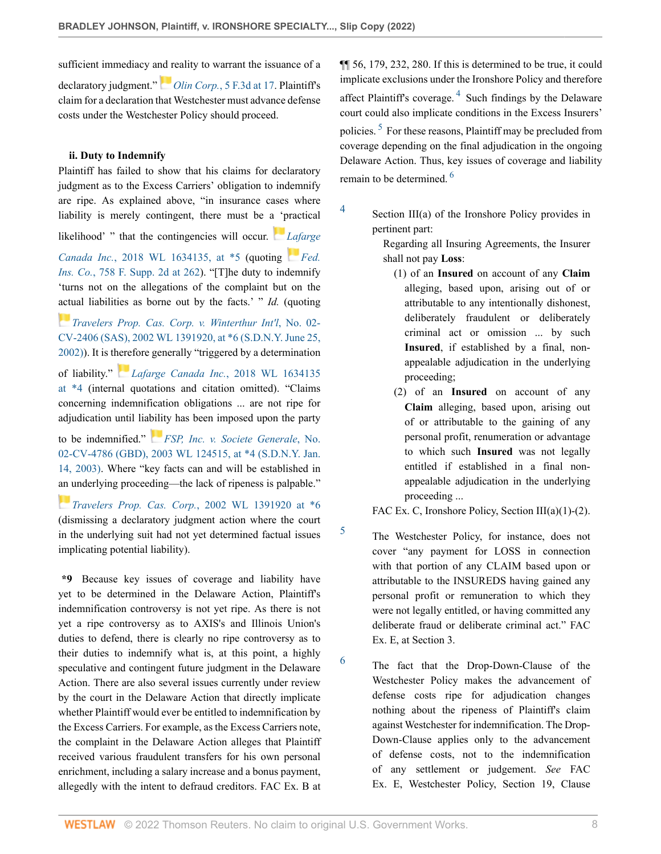sufficient immediacy a[nd r](https://1.next.westlaw.com/Link/RelatedInformation/Flag?documentGuid=I4c55649c96fc11d9bdd1cfdd544ca3a4&transitionType=InlineKeyCiteFlags&originationContext=docHeaderFlag&Rank=0&ppcid=0696a5bade5041e4933c414095534e9d&contextData=(sc.AlertsClip) )eality to warrant the issuance of a declaratory judgment." *Olin Corp.*[, 5 F.3d at 17](http://www.westlaw.com/Link/Document/FullText?findType=Y&serNum=1993176975&pubNum=0000506&originatingDoc=Ie6f31730b01711eca822e285f8d53e4b&refType=RP&fi=co_pp_sp_506_17&originationContext=document&vr=3.0&rs=cblt1.0&transitionType=DocumentItem&contextData=(sc.AlertsClip)#co_pp_sp_506_17). Plaintiff's claim for a declaration that Westchester must advance defense costs under the Westchester Policy should proceed.

### **ii. Duty to Indemnify**

Plaintiff has failed to show that his claims for declaratory judgment as to the Excess Carriers' obligation to indemnify are ripe. As explained above, "in insurance cases where liability is merely contingent, there must be [a 'p](https://1.next.westlaw.com/Link/RelatedInformation/Flag?documentGuid=I06541db0394611e8a70fc9d8a0b2aef5&transitionType=InlineKeyCiteFlags&originationContext=docHeaderFlag&Rank=0&ppcid=0696a5bade5041e4933c414095534e9d&contextData=(sc.AlertsClip) )ractical likelihood' " that the contingencies will occur. *[Lafarge](http://www.westlaw.com/Link/Document/FullText?findType=Y&serNum=2044249449&pubNum=0000999&originatingDoc=Ie6f31730b01711eca822e285f8d53e4b&refType=RP&fi=co_pp_sp_999_5&originationContext=document&vr=3.0&rs=cblt1.0&transitionType=DocumentItem&contextData=(sc.AlertsClip)#co_pp_sp_999_5) Canada Inc.*[, 2018 WL 1634135, at \\*5](http://www.westlaw.com/Link/Document/FullText?findType=Y&serNum=2044249449&pubNum=0000999&originatingDoc=Ie6f31730b01711eca822e285f8d53e4b&refType=RP&fi=co_pp_sp_999_5&originationContext=document&vr=3.0&rs=cblt1.0&transitionType=DocumentItem&contextData=(sc.AlertsClip)#co_pp_sp_999_5) (quoting *[Fed.](http://www.westlaw.com/Link/Document/FullText?findType=Y&serNum=2024180925&pubNum=0004637&originatingDoc=Ie6f31730b01711eca822e285f8d53e4b&refType=RP&fi=co_pp_sp_4637_262&originationContext=document&vr=3.0&rs=cblt1.0&transitionType=DocumentItem&contextData=(sc.AlertsClip)#co_pp_sp_4637_262) Ins. Co.*[, 758 F. Supp. 2d at 262](http://www.westlaw.com/Link/Document/FullText?findType=Y&serNum=2024180925&pubNum=0004637&originatingDoc=Ie6f31730b01711eca822e285f8d53e4b&refType=RP&fi=co_pp_sp_4637_262&originationContext=document&vr=3.0&rs=cblt1.0&transitionType=DocumentItem&contextData=(sc.AlertsClip)#co_pp_sp_4637_262)). "[T]he duty to indemnify 'turns not on the allegations of the complaint but on the [actu](https://1.next.westlaw.com/Link/RelatedInformation/Flag?documentGuid=I169b14f753f711d9b17ee4cdc604a702&transitionType=InlineKeyCiteFlags&originationContext=docHeaderFlag&Rank=0&ppcid=0696a5bade5041e4933c414095534e9d&contextData=(sc.AlertsClip) )al liabilities as borne out by the facts.' " *Id.* (quoting

*[Travelers Prop. Cas. Corp. v. Winterthur Int'l](http://www.westlaw.com/Link/Document/FullText?findType=Y&serNum=2002405481&pubNum=0000999&originatingDoc=Ie6f31730b01711eca822e285f8d53e4b&refType=RP&fi=co_pp_sp_999_6&originationContext=document&vr=3.0&rs=cblt1.0&transitionType=DocumentItem&contextData=(sc.AlertsClip)#co_pp_sp_999_6)*, No. 02- [CV-2406 \(SAS\), 2002 WL 1391920, at \\*6 \(S.D.N.Y. June 25,](http://www.westlaw.com/Link/Document/FullText?findType=Y&serNum=2002405481&pubNum=0000999&originatingDoc=Ie6f31730b01711eca822e285f8d53e4b&refType=RP&fi=co_pp_sp_999_6&originationContext=document&vr=3.0&rs=cblt1.0&transitionType=DocumentItem&contextData=(sc.AlertsClip)#co_pp_sp_999_6) [2002\)](http://www.westlaw.com/Link/Document/FullText?findType=Y&serNum=2002405481&pubNum=0000999&originatingDoc=Ie6f31730b01711eca822e285f8d53e4b&refType=RP&fi=co_pp_sp_999_6&originationContext=document&vr=3.0&rs=cblt1.0&transitionType=DocumentItem&contextData=(sc.AlertsClip)#co_pp_sp_999_6)). It is t[here](https://1.next.westlaw.com/Link/RelatedInformation/Flag?documentGuid=I06541db0394611e8a70fc9d8a0b2aef5&transitionType=InlineKeyCiteFlags&originationContext=docHeaderFlag&Rank=0&ppcid=0696a5bade5041e4933c414095534e9d&contextData=(sc.AlertsClip) )fore generally "triggered by a determination

of liability." *[Lafarge Canada Inc.](http://www.westlaw.com/Link/Document/FullText?findType=Y&serNum=2044249449&pubNum=0000999&originatingDoc=Ie6f31730b01711eca822e285f8d53e4b&refType=RP&fi=co_pp_sp_999_4&originationContext=document&vr=3.0&rs=cblt1.0&transitionType=DocumentItem&contextData=(sc.AlertsClip)#co_pp_sp_999_4)*, 2018 WL 1634135 [at \\*4](http://www.westlaw.com/Link/Document/FullText?findType=Y&serNum=2044249449&pubNum=0000999&originatingDoc=Ie6f31730b01711eca822e285f8d53e4b&refType=RP&fi=co_pp_sp_999_4&originationContext=document&vr=3.0&rs=cblt1.0&transitionType=DocumentItem&contextData=(sc.AlertsClip)#co_pp_sp_999_4) (internal quotations and citation omitted). "Claims concerning indemnification obligations ... are not ripe for adjudication until lia[bilit](https://1.next.westlaw.com/Link/RelatedInformation/Flag?documentGuid=Ia8c036da540111d997e0acd5cbb90d3f&transitionType=InlineKeyCiteFlags&originationContext=docHeaderFlag&Rank=0&ppcid=0696a5bade5041e4933c414095534e9d&contextData=(sc.AlertsClip) )y has been imposed upon the party

to be indemnified." *[FSP, Inc. v. Societe Generale](http://www.westlaw.com/Link/Document/FullText?findType=Y&serNum=2003082939&pubNum=0000999&originatingDoc=Ie6f31730b01711eca822e285f8d53e4b&refType=RP&fi=co_pp_sp_999_4&originationContext=document&vr=3.0&rs=cblt1.0&transitionType=DocumentItem&contextData=(sc.AlertsClip)#co_pp_sp_999_4)*, No. [02-CV-4786 \(GBD\), 2003 WL 124515, at \\*4 \(S.D.N.Y. Jan.](http://www.westlaw.com/Link/Document/FullText?findType=Y&serNum=2003082939&pubNum=0000999&originatingDoc=Ie6f31730b01711eca822e285f8d53e4b&refType=RP&fi=co_pp_sp_999_4&originationContext=document&vr=3.0&rs=cblt1.0&transitionType=DocumentItem&contextData=(sc.AlertsClip)#co_pp_sp_999_4) [14, 2003\)](http://www.westlaw.com/Link/Document/FullText?findType=Y&serNum=2003082939&pubNum=0000999&originatingDoc=Ie6f31730b01711eca822e285f8d53e4b&refType=RP&fi=co_pp_sp_999_4&originationContext=document&vr=3.0&rs=cblt1.0&transitionType=DocumentItem&contextData=(sc.AlertsClip)#co_pp_sp_999_4). Where "key facts can and will be established in [an u](https://1.next.westlaw.com/Link/RelatedInformation/Flag?documentGuid=I169b14f753f711d9b17ee4cdc604a702&transitionType=InlineKeyCiteFlags&originationContext=docHeaderFlag&Rank=0&ppcid=0696a5bade5041e4933c414095534e9d&contextData=(sc.AlertsClip) )nderlying proceeding—the lack of ripeness is palpable."

*[Travelers Prop. Cas. Corp.](http://www.westlaw.com/Link/Document/FullText?findType=Y&serNum=2002405481&pubNum=0000999&originatingDoc=Ie6f31730b01711eca822e285f8d53e4b&refType=RP&fi=co_pp_sp_999_6&originationContext=document&vr=3.0&rs=cblt1.0&transitionType=DocumentItem&contextData=(sc.AlertsClip)#co_pp_sp_999_6)*, 2002 WL 1391920 at \*6 (dismissing a declaratory judgment action where the court in the underlying suit had not yet determined factual issues implicating potential liability).

**\*9** Because key issues of coverage and liability have yet to be determined in the Delaware Action, Plaintiff's indemnification controversy is not yet ripe. As there is not yet a ripe controversy as to AXIS's and Illinois Union's duties to defend, there is clearly no ripe controversy as to their duties to indemnify what is, at this point, a highly speculative and contingent future judgment in the Delaware Action. There are also several issues currently under review by the court in the Delaware Action that directly implicate whether Plaintiff would ever be entitled to indemnification by the Excess Carriers. For example, as the Excess Carriers note, the complaint in the Delaware Action alleges that Plaintiff received various fraudulent transfers for his own personal enrichment, including a salary increase and a bonus payment, allegedly with the intent to defraud creditors. FAC Ex. B at <span id="page-7-4"></span><span id="page-7-3"></span>¶¶ 56, 179, 232, 280. If this is determined to be true, it could implicate exclusions under the Ironshore Policy and therefore affect Plaintiff's coverage.<sup>[4](#page-7-0)</sup> Such findings by the Delaware court could also implicate conditions in the Excess Insurers' policies.<sup>[5](#page-7-1)</sup> For these reasons, Plaintiff may be precluded from coverage depending on the final adjudication in the ongoing Delaware Action. Thus, key issues of coverage and liability remain to be determined. [6](#page-7-2)

Section III(a) of the Ironshore Policy provides in pertinent part:

<span id="page-7-0"></span>[4](#page-7-3)

<span id="page-7-1"></span>[5](#page-7-4)

<span id="page-7-2"></span>[6](#page-7-5)

<span id="page-7-5"></span>Regarding all Insuring Agreements, the Insurer shall not pay **Loss**:

- (1) of an **Insured** on account of any **Claim** alleging, based upon, arising out of or attributable to any intentionally dishonest, deliberately fraudulent or deliberately criminal act or omission ... by such **Insured**, if established by a final, nonappealable adjudication in the underlying proceeding;
- (2) of an **Insured** on account of any **Claim** alleging, based upon, arising out of or attributable to the gaining of any personal profit, renumeration or advantage to which such **Insured** was not legally entitled if established in a final nonappealable adjudication in the underlying proceeding ...

FAC Ex. C, Ironshore Policy, Section III(a)(1)-(2).

The Westchester Policy, for instance, does not cover "any payment for LOSS in connection with that portion of any CLAIM based upon or attributable to the INSUREDS having gained any personal profit or remuneration to which they were not legally entitled, or having committed any deliberate fraud or deliberate criminal act." FAC Ex. E, at Section 3.

The fact that the Drop-Down-Clause of the Westchester Policy makes the advancement of defense costs ripe for adjudication changes nothing about the ripeness of Plaintiff's claim against Westchester for indemnification. The Drop-Down-Clause applies only to the advancement of defense costs, not to the indemnification of any settlement or judgement. *See* FAC Ex. E, Westchester Policy, Section 19, Clause